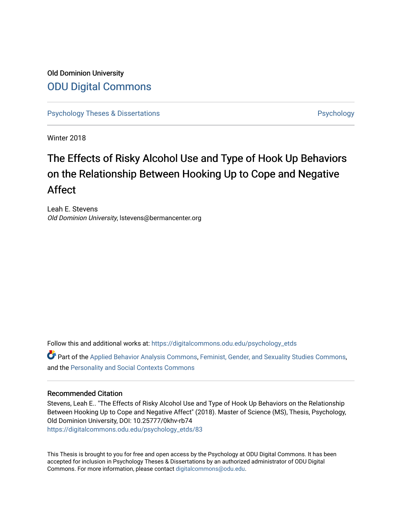## Old Dominion University [ODU Digital Commons](https://digitalcommons.odu.edu/)

[Psychology Theses & Dissertations](https://digitalcommons.odu.edu/psychology_etds) **Psychology** [Psychology](https://digitalcommons.odu.edu/psychology) **Psychology** 

Winter 2018

# The Effects of Risky Alcohol Use and Type of Hook Up Behaviors on the Relationship Between Hooking Up to Cope and Negative Affect

Leah E. Stevens Old Dominion University, lstevens@bermancenter.org

Follow this and additional works at: [https://digitalcommons.odu.edu/psychology\\_etds](https://digitalcommons.odu.edu/psychology_etds?utm_source=digitalcommons.odu.edu%2Fpsychology_etds%2F83&utm_medium=PDF&utm_campaign=PDFCoverPages)

Part of the [Applied Behavior Analysis Commons](http://network.bepress.com/hgg/discipline/1235?utm_source=digitalcommons.odu.edu%2Fpsychology_etds%2F83&utm_medium=PDF&utm_campaign=PDFCoverPages), [Feminist, Gender, and Sexuality Studies Commons,](http://network.bepress.com/hgg/discipline/559?utm_source=digitalcommons.odu.edu%2Fpsychology_etds%2F83&utm_medium=PDF&utm_campaign=PDFCoverPages) and the [Personality and Social Contexts Commons](http://network.bepress.com/hgg/discipline/413?utm_source=digitalcommons.odu.edu%2Fpsychology_etds%2F83&utm_medium=PDF&utm_campaign=PDFCoverPages) 

### Recommended Citation

Stevens, Leah E.. "The Effects of Risky Alcohol Use and Type of Hook Up Behaviors on the Relationship Between Hooking Up to Cope and Negative Affect" (2018). Master of Science (MS), Thesis, Psychology, Old Dominion University, DOI: 10.25777/0khv-rb74 [https://digitalcommons.odu.edu/psychology\\_etds/83](https://digitalcommons.odu.edu/psychology_etds/83?utm_source=digitalcommons.odu.edu%2Fpsychology_etds%2F83&utm_medium=PDF&utm_campaign=PDFCoverPages) 

This Thesis is brought to you for free and open access by the Psychology at ODU Digital Commons. It has been accepted for inclusion in Psychology Theses & Dissertations by an authorized administrator of ODU Digital Commons. For more information, please contact [digitalcommons@odu.edu](mailto:digitalcommons@odu.edu).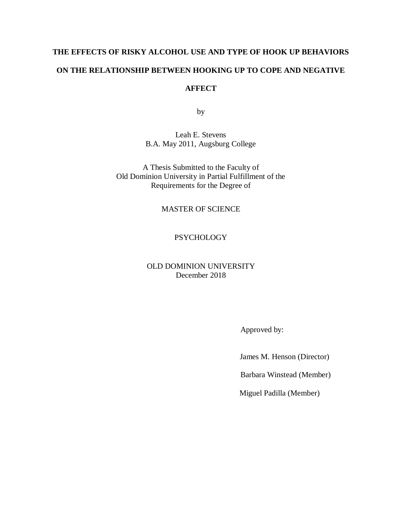# **THE EFFECTS OF RISKY ALCOHOL USE AND TYPE OF HOOK UP BEHAVIORS ON THE RELATIONSHIP BETWEEN HOOKING UP TO COPE AND NEGATIVE AFFECT**

by

Leah E. Stevens B.A. May 2011, Augsburg College

A Thesis Submitted to the Faculty of Old Dominion University in Partial Fulfillment of the Requirements for the Degree of

### MASTER OF SCIENCE

### **PSYCHOLOGY**

### OLD DOMINION UNIVERSITY December 2018

Approved by:

James M. Henson (Director)

Barbara Winstead (Member)

Miguel Padilla (Member)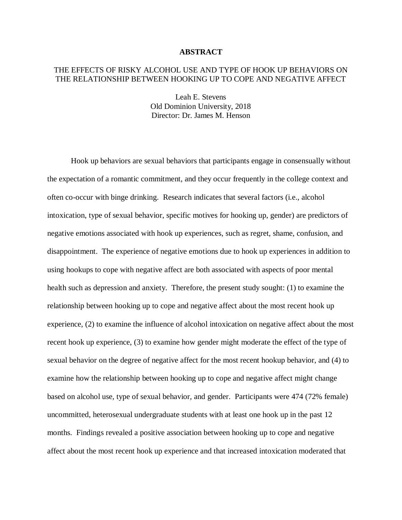### **ABSTRACT**

### THE EFFECTS OF RISKY ALCOHOL USE AND TYPE OF HOOK UP BEHAVIORS ON THE RELATIONSHIP BETWEEN HOOKING UP TO COPE AND NEGATIVE AFFECT

Leah E. Stevens Old Dominion University, 2018 Director: Dr. James M. Henson

Hook up behaviors are sexual behaviors that participants engage in consensually without the expectation of a romantic commitment, and they occur frequently in the college context and often co-occur with binge drinking. Research indicates that several factors (i.e., alcohol intoxication, type of sexual behavior, specific motives for hooking up, gender) are predictors of negative emotions associated with hook up experiences, such as regret, shame, confusion, and disappointment. The experience of negative emotions due to hook up experiences in addition to using hookups to cope with negative affect are both associated with aspects of poor mental health such as depression and anxiety. Therefore, the present study sought: (1) to examine the relationship between hooking up to cope and negative affect about the most recent hook up experience, (2) to examine the influence of alcohol intoxication on negative affect about the most recent hook up experience, (3) to examine how gender might moderate the effect of the type of sexual behavior on the degree of negative affect for the most recent hookup behavior, and (4) to examine how the relationship between hooking up to cope and negative affect might change based on alcohol use, type of sexual behavior, and gender. Participants were 474 (72% female) uncommitted, heterosexual undergraduate students with at least one hook up in the past 12 months. Findings revealed a positive association between hooking up to cope and negative affect about the most recent hook up experience and that increased intoxication moderated that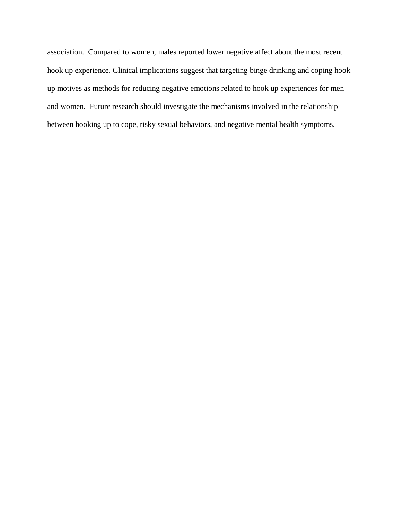association. Compared to women, males reported lower negative affect about the most recent hook up experience. Clinical implications suggest that targeting binge drinking and coping hook up motives as methods for reducing negative emotions related to hook up experiences for men and women. Future research should investigate the mechanisms involved in the relationship between hooking up to cope, risky sexual behaviors, and negative mental health symptoms.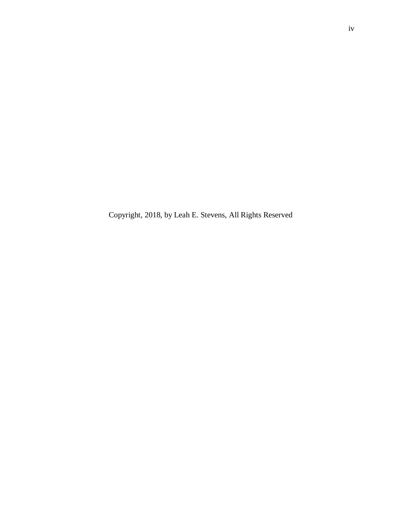Copyright, 2018, by Leah E. Stevens, All Rights Reserved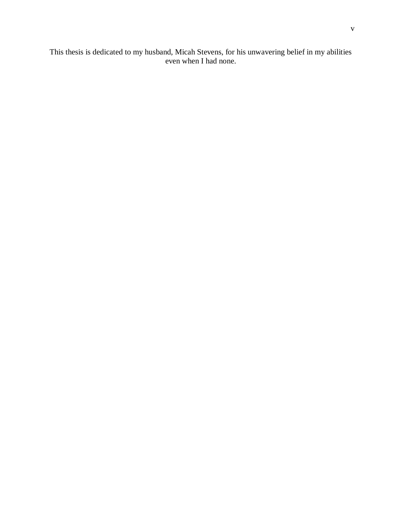This thesis is dedicated to my husband, Micah Stevens, for his unwavering belief in my abilities even when I had none.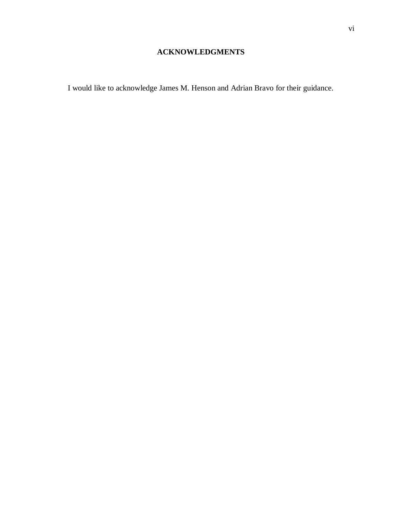## **ACKNOWLEDGMENTS**

I would like to acknowledge James M. Henson and Adrian Bravo for their guidance.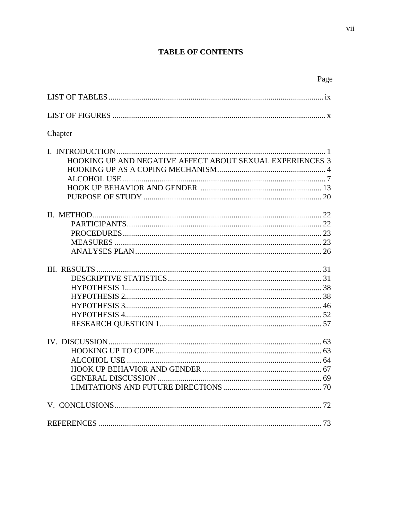## **TABLE OF CONTENTS**

| Chapter                                                   |  |
|-----------------------------------------------------------|--|
|                                                           |  |
|                                                           |  |
| HOOKING UP AND NEGATIVE AFFECT ABOUT SEXUAL EXPERIENCES 3 |  |
|                                                           |  |
|                                                           |  |
|                                                           |  |
|                                                           |  |
|                                                           |  |
|                                                           |  |
|                                                           |  |
|                                                           |  |
|                                                           |  |
|                                                           |  |
|                                                           |  |
|                                                           |  |
|                                                           |  |
|                                                           |  |
|                                                           |  |
|                                                           |  |
|                                                           |  |
|                                                           |  |
|                                                           |  |
|                                                           |  |
|                                                           |  |
|                                                           |  |
|                                                           |  |
|                                                           |  |
|                                                           |  |
|                                                           |  |
|                                                           |  |

Page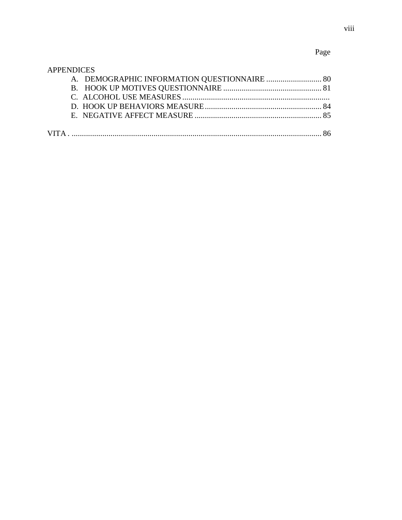## Page

### **APPENDICES**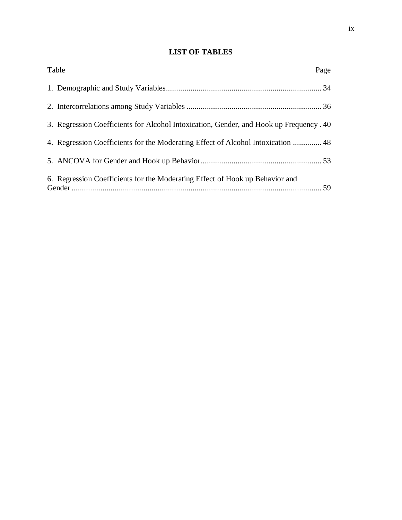## **LIST OF TABLES**

| Table                                                                                   | Page |
|-----------------------------------------------------------------------------------------|------|
|                                                                                         |      |
|                                                                                         |      |
| 3. Regression Coefficients for Alcohol Intoxication, Gender, and Hook up Frequency . 40 |      |
| 48. Regression Coefficients for the Moderating Effect of Alcohol Intoxication  48       |      |
|                                                                                         |      |
| 6. Regression Coefficients for the Moderating Effect of Hook up Behavior and            |      |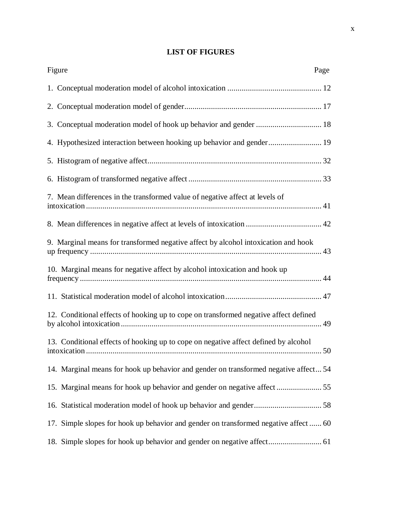## **LIST OF FIGURES**

| Figure                                                                               | Page |
|--------------------------------------------------------------------------------------|------|
|                                                                                      |      |
|                                                                                      |      |
| 3. Conceptual moderation model of hook up behavior and gender  18                    |      |
| 4. Hypothesized interaction between hooking up behavior and gender 19                |      |
|                                                                                      |      |
|                                                                                      |      |
| 7. Mean differences in the transformed value of negative affect at levels of         |      |
|                                                                                      |      |
| 9. Marginal means for transformed negative affect by alcohol intoxication and hook   |      |
| 10. Marginal means for negative affect by alcohol intoxication and hook up           |      |
|                                                                                      |      |
| 12. Conditional effects of hooking up to cope on transformed negative affect defined |      |
| 13. Conditional effects of hooking up to cope on negative affect defined by alcohol  |      |
| 14. Marginal means for hook up behavior and gender on transformed negative affect 54 |      |
|                                                                                      |      |
|                                                                                      |      |
| 17. Simple slopes for hook up behavior and gender on transformed negative affect  60 |      |
|                                                                                      |      |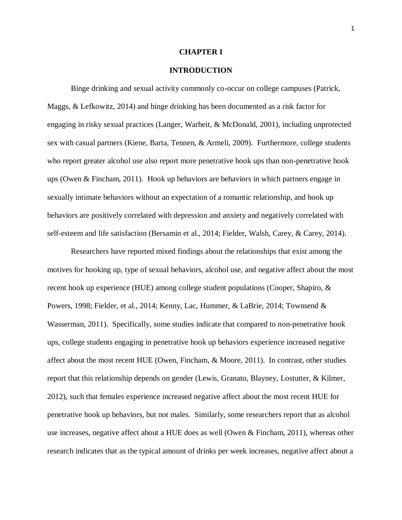### **CHAPTER I**

### **INTRODUCTION**

Binge drinking and sexual activity commonly co-occur on college campuses (Patrick, Maggs, & Lefkowitz, 2014) and binge drinking has been documented as a risk factor for engaging in risky sexual practices (Langer, Warheit, & McDonald, 2001), including unprotected sex with casual partners (Kiene, Barta, Tennen, & Armeli, 2009). Furthermore, college students who report greater alcohol use also report more penetrative hook ups than non-penetrative hook ups (Owen & Fincham, 2011). Hook up behaviors are behaviors in which partners engage in sexually intimate behaviors without an expectation of a romantic relationship, and hook up behaviors are positively correlated with depression and anxiety and negatively correlated with self-esteem and life satisfaction (Bersamin et al., 2014; Fielder, Walsh, Carey, & Carey, 2014).

Researchers have reported mixed findings about the relationships that exist among the motives for hooking up, type of sexual behaviors, alcohol use, and negative affect about the most recent hook up experience (HUE) among college student populations (Cooper, Shapiro, & Powers, 1998; Fielder, et al., 2014; Kenny, Lac, Hummer, & LaBrie, 2014; Townsend & Wasserman, 2011). Specifically, some studies indicate that compared to non-penetrative hook ups, college students engaging in penetrative hook up behaviors experience increased negative affect about the most recent HUE (Owen, Fincham, & Moore, 2011). In contrast, other studies report that this relationship depends on gender (Lewis, Granato, Blayney, Lostutter, & Kilmer, 2012), such that females experience increased negative affect about the most recent HUE for penetrative hook up behaviors, but not males. Similarly, some researchers report that as alcohol use increases, negative affect about a HUE does as well (Owen & Fincham, 2011), whereas other research indicates that as the typical amount of drinks per week increases, negative affect about a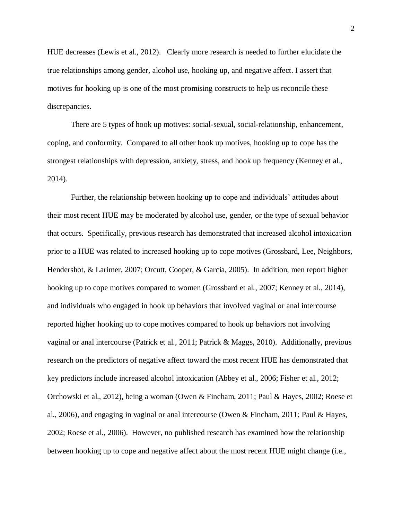HUE decreases (Lewis et al., 2012). Clearly more research is needed to further elucidate the true relationships among gender, alcohol use, hooking up, and negative affect. I assert that motives for hooking up is one of the most promising constructs to help us reconcile these discrepancies.

There are 5 types of hook up motives: social-sexual, social-relationship, enhancement, coping, and conformity. Compared to all other hook up motives, hooking up to cope has the strongest relationships with depression, anxiety, stress, and hook up frequency (Kenney et al., 2014).

Further, the relationship between hooking up to cope and individuals' attitudes about their most recent HUE may be moderated by alcohol use, gender, or the type of sexual behavior that occurs. Specifically, previous research has demonstrated that increased alcohol intoxication prior to a HUE was related to increased hooking up to cope motives (Grossbard, Lee, Neighbors, Hendershot, & Larimer, 2007; Orcutt, Cooper, & Garcia, 2005). In addition, men report higher hooking up to cope motives compared to women (Grossbard et al., 2007; Kenney et al., 2014), and individuals who engaged in hook up behaviors that involved vaginal or anal intercourse reported higher hooking up to cope motives compared to hook up behaviors not involving vaginal or anal intercourse (Patrick et al., 2011; Patrick & Maggs, 2010). Additionally, previous research on the predictors of negative affect toward the most recent HUE has demonstrated that key predictors include increased alcohol intoxication (Abbey et al., 2006; Fisher et al., 2012; Orchowski et al., 2012), being a woman (Owen & Fincham, 2011; Paul & Hayes, 2002; Roese et al., 2006), and engaging in vaginal or anal intercourse (Owen & Fincham, 2011; Paul & Hayes, 2002; Roese et al., 2006). However, no published research has examined how the relationship between hooking up to cope and negative affect about the most recent HUE might change (i.e.,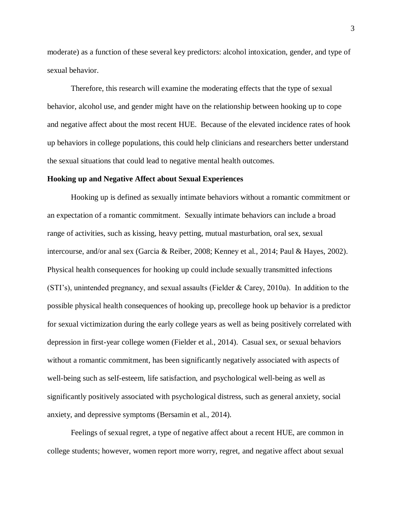moderate) as a function of these several key predictors: alcohol intoxication, gender, and type of sexual behavior.

Therefore, this research will examine the moderating effects that the type of sexual behavior, alcohol use, and gender might have on the relationship between hooking up to cope and negative affect about the most recent HUE. Because of the elevated incidence rates of hook up behaviors in college populations, this could help clinicians and researchers better understand the sexual situations that could lead to negative mental health outcomes.

### **Hooking up and Negative Affect about Sexual Experiences**

Hooking up is defined as sexually intimate behaviors without a romantic commitment or an expectation of a romantic commitment. Sexually intimate behaviors can include a broad range of activities, such as kissing, heavy petting, mutual masturbation, oral sex, sexual intercourse, and/or anal sex (Garcia & Reiber, 2008; Kenney et al., 2014; Paul & Hayes, 2002). Physical health consequences for hooking up could include sexually transmitted infections (STI's), unintended pregnancy, and sexual assaults (Fielder & Carey, 2010a). In addition to the possible physical health consequences of hooking up, precollege hook up behavior is a predictor for sexual victimization during the early college years as well as being positively correlated with depression in first-year college women (Fielder et al., 2014). Casual sex, or sexual behaviors without a romantic commitment, has been significantly negatively associated with aspects of well-being such as self-esteem, life satisfaction, and psychological well-being as well as significantly positively associated with psychological distress, such as general anxiety, social anxiety, and depressive symptoms (Bersamin et al., 2014).

Feelings of sexual regret, a type of negative affect about a recent HUE, are common in college students; however, women report more worry, regret, and negative affect about sexual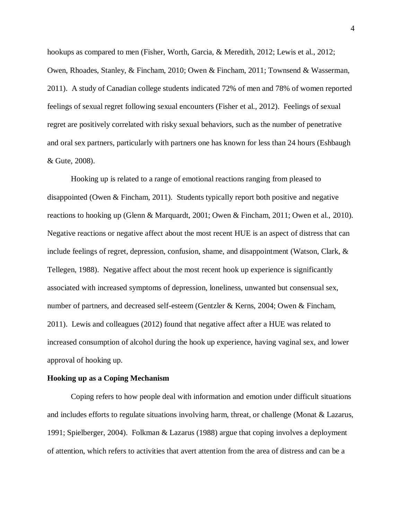hookups as compared to men (Fisher, Worth, Garcia, & Meredith, 2012; Lewis et al., 2012; Owen, Rhoades, Stanley, & Fincham, 2010; Owen & Fincham, 2011; Townsend & Wasserman, 2011). A study of Canadian college students indicated 72% of men and 78% of women reported feelings of sexual regret following sexual encounters (Fisher et al., 2012). Feelings of sexual regret are positively correlated with risky sexual behaviors, such as the number of penetrative and oral sex partners, particularly with partners one has known for less than 24 hours (Eshbaugh & Gute, 2008).

Hooking up is related to a range of emotional reactions ranging from pleased to disappointed (Owen & Fincham, 2011). Students typically report both positive and negative reactions to hooking up (Glenn & Marquardt, 2001; Owen & Fincham, 2011; Owen et al., 2010). Negative reactions or negative affect about the most recent HUE is an aspect of distress that can include feelings of regret, depression, confusion, shame, and disappointment (Watson, Clark, & Tellegen, 1988). Negative affect about the most recent hook up experience is significantly associated with increased symptoms of depression, loneliness, unwanted but consensual sex, number of partners, and decreased self-esteem (Gentzler & Kerns, 2004; Owen & Fincham, 2011). Lewis and colleagues (2012) found that negative affect after a HUE was related to increased consumption of alcohol during the hook up experience, having vaginal sex, and lower approval of hooking up.

### **Hooking up as a Coping Mechanism**

Coping refers to how people deal with information and emotion under difficult situations and includes efforts to regulate situations involving harm, threat, or challenge (Monat & Lazarus, 1991; Spielberger, 2004). Folkman & Lazarus (1988) argue that coping involves a deployment of attention, which refers to activities that avert attention from the area of distress and can be a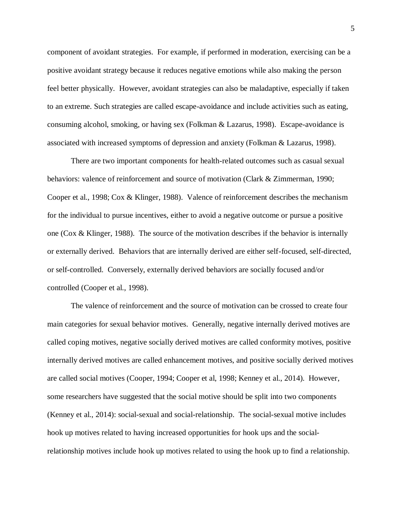component of avoidant strategies. For example, if performed in moderation, exercising can be a positive avoidant strategy because it reduces negative emotions while also making the person feel better physically. However, avoidant strategies can also be maladaptive, especially if taken to an extreme. Such strategies are called escape-avoidance and include activities such as eating, consuming alcohol, smoking, or having sex (Folkman & Lazarus, 1998). Escape-avoidance is associated with increased symptoms of depression and anxiety (Folkman & Lazarus, 1998).

There are two important components for health-related outcomes such as casual sexual behaviors: valence of reinforcement and source of motivation (Clark & Zimmerman, 1990; Cooper et al., 1998; Cox & Klinger, 1988). Valence of reinforcement describes the mechanism for the individual to pursue incentives, either to avoid a negative outcome or pursue a positive one (Cox & Klinger, 1988). The source of the motivation describes if the behavior is internally or externally derived. Behaviors that are internally derived are either self-focused, self-directed, or self-controlled. Conversely, externally derived behaviors are socially focused and/or controlled (Cooper et al., 1998).

The valence of reinforcement and the source of motivation can be crossed to create four main categories for sexual behavior motives. Generally, negative internally derived motives are called coping motives, negative socially derived motives are called conformity motives, positive internally derived motives are called enhancement motives, and positive socially derived motives are called social motives (Cooper, 1994; Cooper et al, 1998; Kenney et al., 2014). However, some researchers have suggested that the social motive should be split into two components (Kenney et al., 2014): social-sexual and social-relationship. The social-sexual motive includes hook up motives related to having increased opportunities for hook ups and the socialrelationship motives include hook up motives related to using the hook up to find a relationship.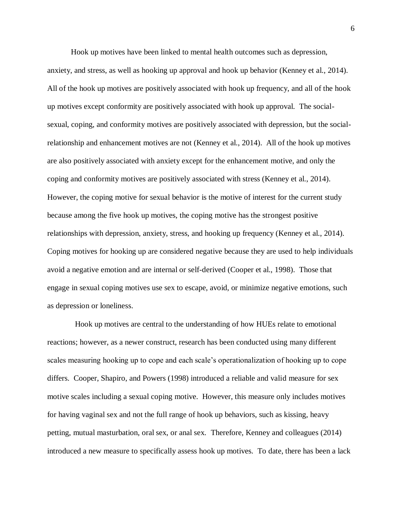Hook up motives have been linked to mental health outcomes such as depression, anxiety, and stress, as well as hooking up approval and hook up behavior (Kenney et al., 2014). All of the hook up motives are positively associated with hook up frequency, and all of the hook up motives except conformity are positively associated with hook up approval. The socialsexual, coping, and conformity motives are positively associated with depression, but the socialrelationship and enhancement motives are not (Kenney et al., 2014). All of the hook up motives are also positively associated with anxiety except for the enhancement motive, and only the coping and conformity motives are positively associated with stress (Kenney et al., 2014). However, the coping motive for sexual behavior is the motive of interest for the current study because among the five hook up motives, the coping motive has the strongest positive relationships with depression, anxiety, stress, and hooking up frequency (Kenney et al., 2014). Coping motives for hooking up are considered negative because they are used to help individuals avoid a negative emotion and are internal or self-derived (Cooper et al., 1998). Those that engage in sexual coping motives use sex to escape, avoid, or minimize negative emotions, such as depression or loneliness.

 Hook up motives are central to the understanding of how HUEs relate to emotional reactions; however, as a newer construct, research has been conducted using many different scales measuring hooking up to cope and each scale's operationalization of hooking up to cope differs. Cooper, Shapiro, and Powers (1998) introduced a reliable and valid measure for sex motive scales including a sexual coping motive. However, this measure only includes motives for having vaginal sex and not the full range of hook up behaviors, such as kissing, heavy petting, mutual masturbation, oral sex, or anal sex. Therefore, Kenney and colleagues (2014) introduced a new measure to specifically assess hook up motives. To date, there has been a lack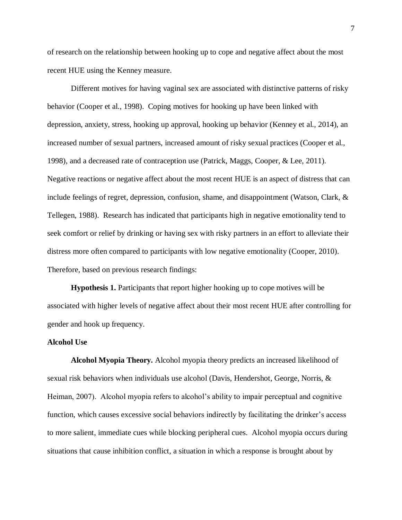of research on the relationship between hooking up to cope and negative affect about the most recent HUE using the Kenney measure.

Different motives for having vaginal sex are associated with distinctive patterns of risky behavior (Cooper et al., 1998). Coping motives for hooking up have been linked with depression, anxiety, stress, hooking up approval, hooking up behavior (Kenney et al., 2014), an increased number of sexual partners, increased amount of risky sexual practices (Cooper et al., 1998), and a decreased rate of contraception use (Patrick, Maggs, Cooper, & Lee, 2011). Negative reactions or negative affect about the most recent HUE is an aspect of distress that can include feelings of regret, depression, confusion, shame, and disappointment (Watson, Clark, & Tellegen, 1988). Research has indicated that participants high in negative emotionality tend to seek comfort or relief by drinking or having sex with risky partners in an effort to alleviate their distress more often compared to participants with low negative emotionality (Cooper, 2010). Therefore, based on previous research findings:

**Hypothesis 1.** Participants that report higher hooking up to cope motives will be associated with higher levels of negative affect about their most recent HUE after controlling for gender and hook up frequency.

### **Alcohol Use**

**Alcohol Myopia Theory.** Alcohol myopia theory predicts an increased likelihood of sexual risk behaviors when individuals use alcohol (Davis, Hendershot, George, Norris, & Heiman, 2007). Alcohol myopia refers to alcohol's ability to impair perceptual and cognitive function, which causes excessive social behaviors indirectly by facilitating the drinker's access to more salient, immediate cues while blocking peripheral cues. Alcohol myopia occurs during situations that cause inhibition conflict, a situation in which a response is brought about by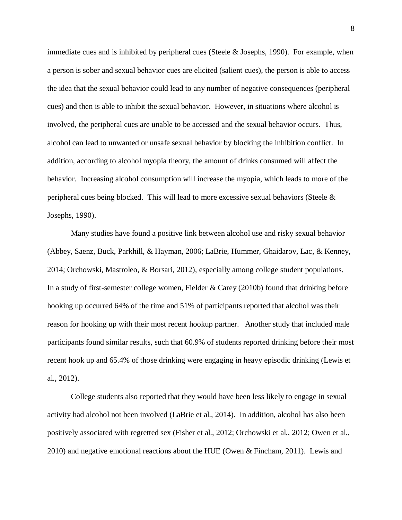immediate cues and is inhibited by peripheral cues (Steele & Josephs, 1990). For example, when a person is sober and sexual behavior cues are elicited (salient cues), the person is able to access the idea that the sexual behavior could lead to any number of negative consequences (peripheral cues) and then is able to inhibit the sexual behavior. However, in situations where alcohol is involved, the peripheral cues are unable to be accessed and the sexual behavior occurs. Thus, alcohol can lead to unwanted or unsafe sexual behavior by blocking the inhibition conflict. In addition, according to alcohol myopia theory, the amount of drinks consumed will affect the behavior. Increasing alcohol consumption will increase the myopia, which leads to more of the peripheral cues being blocked. This will lead to more excessive sexual behaviors (Steele & Josephs, 1990).

Many studies have found a positive link between alcohol use and risky sexual behavior (Abbey, Saenz, Buck, Parkhill, & Hayman, 2006; LaBrie, Hummer, Ghaidarov, Lac, & Kenney, 2014; Orchowski, Mastroleo, & Borsari, 2012), especially among college student populations. In a study of first-semester college women, Fielder & Carey (2010b) found that drinking before hooking up occurred 64% of the time and 51% of participants reported that alcohol was their reason for hooking up with their most recent hookup partner. Another study that included male participants found similar results, such that 60.9% of students reported drinking before their most recent hook up and 65.4% of those drinking were engaging in heavy episodic drinking (Lewis et al., 2012).

College students also reported that they would have been less likely to engage in sexual activity had alcohol not been involved (LaBrie et al., 2014). In addition, alcohol has also been positively associated with regretted sex (Fisher et al., 2012; Orchowski et al., 2012; Owen et al., 2010) and negative emotional reactions about the HUE (Owen & Fincham, 2011). Lewis and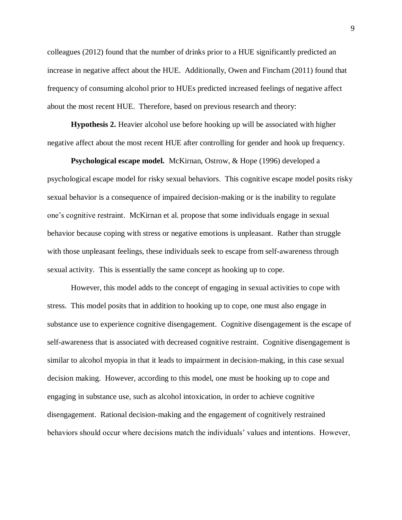colleagues (2012) found that the number of drinks prior to a HUE significantly predicted an increase in negative affect about the HUE. Additionally, Owen and Fincham (2011) found that frequency of consuming alcohol prior to HUEs predicted increased feelings of negative affect about the most recent HUE. Therefore, based on previous research and theory:

**Hypothesis 2.** Heavier alcohol use before hooking up will be associated with higher negative affect about the most recent HUE after controlling for gender and hook up frequency.

**Psychological escape model.** McKirnan, Ostrow, & Hope (1996) developed a psychological escape model for risky sexual behaviors. This cognitive escape model posits risky sexual behavior is a consequence of impaired decision-making or is the inability to regulate one's cognitive restraint. McKirnan et al. propose that some individuals engage in sexual behavior because coping with stress or negative emotions is unpleasant. Rather than struggle with those unpleasant feelings, these individuals seek to escape from self-awareness through sexual activity. This is essentially the same concept as hooking up to cope.

However, this model adds to the concept of engaging in sexual activities to cope with stress. This model posits that in addition to hooking up to cope, one must also engage in substance use to experience cognitive disengagement. Cognitive disengagement is the escape of self-awareness that is associated with decreased cognitive restraint. Cognitive disengagement is similar to alcohol myopia in that it leads to impairment in decision-making, in this case sexual decision making. However, according to this model, one must be hooking up to cope and engaging in substance use, such as alcohol intoxication, in order to achieve cognitive disengagement. Rational decision-making and the engagement of cognitively restrained behaviors should occur where decisions match the individuals' values and intentions. However,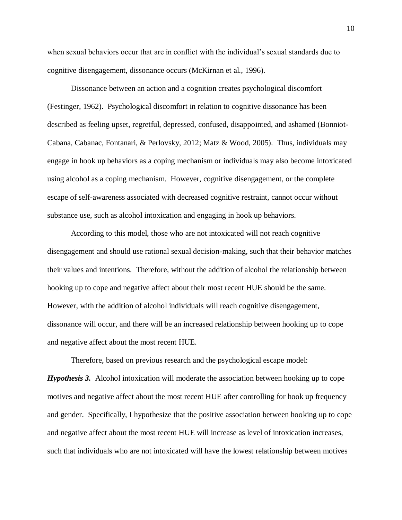when sexual behaviors occur that are in conflict with the individual's sexual standards due to cognitive disengagement, dissonance occurs (McKirnan et al., 1996).

Dissonance between an action and a cognition creates psychological discomfort (Festinger, 1962). Psychological discomfort in relation to cognitive dissonance has been described as feeling upset, regretful, depressed, confused, disappointed, and ashamed (Bonniot-Cabana, Cabanac, Fontanari, & Perlovsky, 2012; Matz & Wood, 2005). Thus, individuals may engage in hook up behaviors as a coping mechanism or individuals may also become intoxicated using alcohol as a coping mechanism. However, cognitive disengagement, or the complete escape of self-awareness associated with decreased cognitive restraint, cannot occur without substance use, such as alcohol intoxication and engaging in hook up behaviors.

According to this model, those who are not intoxicated will not reach cognitive disengagement and should use rational sexual decision-making, such that their behavior matches their values and intentions. Therefore, without the addition of alcohol the relationship between hooking up to cope and negative affect about their most recent HUE should be the same. However, with the addition of alcohol individuals will reach cognitive disengagement, dissonance will occur, and there will be an increased relationship between hooking up to cope and negative affect about the most recent HUE.

Therefore, based on previous research and the psychological escape model:

*Hypothesis 3.* Alcohol intoxication will moderate the association between hooking up to cope motives and negative affect about the most recent HUE after controlling for hook up frequency and gender. Specifically, I hypothesize that the positive association between hooking up to cope and negative affect about the most recent HUE will increase as level of intoxication increases, such that individuals who are not intoxicated will have the lowest relationship between motives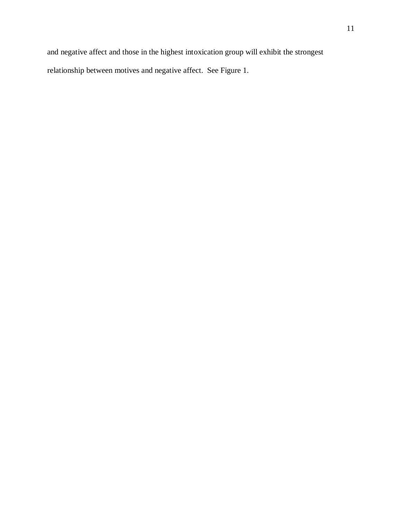and negative affect and those in the highest intoxication group will exhibit the strongest relationship between motives and negative affect. See Figure 1.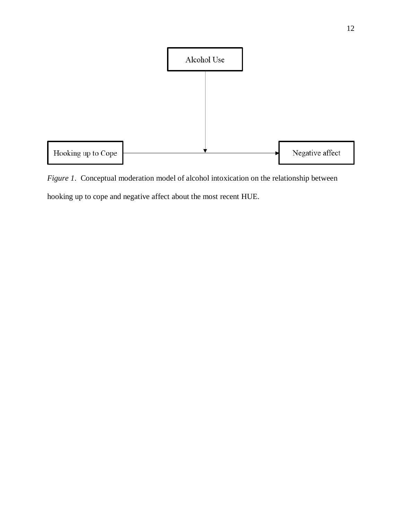

*Figure 1*. Conceptual moderation model of alcohol intoxication on the relationship between hooking up to cope and negative affect about the most recent HUE.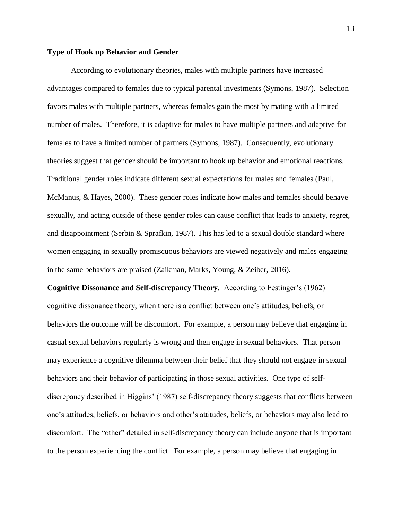### **Type of Hook up Behavior and Gender**

According to evolutionary theories, males with multiple partners have increased advantages compared to females due to typical parental investments (Symons, 1987). Selection favors males with multiple partners, whereas females gain the most by mating with a limited number of males. Therefore, it is adaptive for males to have multiple partners and adaptive for females to have a limited number of partners (Symons, 1987). Consequently, evolutionary theories suggest that gender should be important to hook up behavior and emotional reactions. Traditional gender roles indicate different sexual expectations for males and females (Paul, McManus, & Hayes, 2000). These gender roles indicate how males and females should behave sexually, and acting outside of these gender roles can cause conflict that leads to anxiety, regret, and disappointment (Serbin & Sprafkin, 1987). This has led to a sexual double standard where women engaging in sexually promiscuous behaviors are viewed negatively and males engaging in the same behaviors are praised (Zaikman, Marks, Young, & Zeiber, 2016).

**Cognitive Dissonance and Self-discrepancy Theory.** According to Festinger's (1962) cognitive dissonance theory, when there is a conflict between one's attitudes, beliefs, or behaviors the outcome will be discomfort. For example, a person may believe that engaging in casual sexual behaviors regularly is wrong and then engage in sexual behaviors. That person may experience a cognitive dilemma between their belief that they should not engage in sexual behaviors and their behavior of participating in those sexual activities. One type of selfdiscrepancy described in Higgins' (1987) self-discrepancy theory suggests that conflicts between one's attitudes, beliefs, or behaviors and other's attitudes, beliefs, or behaviors may also lead to discomfort. The "other" detailed in self-discrepancy theory can include anyone that is important to the person experiencing the conflict. For example, a person may believe that engaging in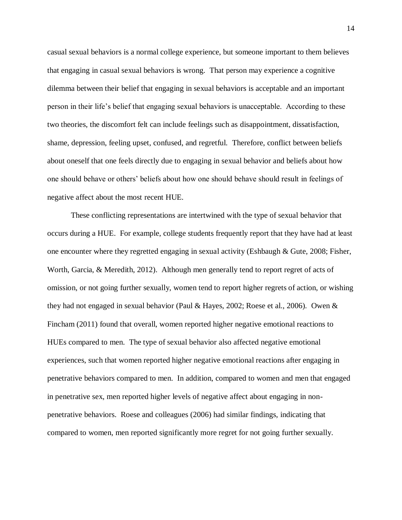casual sexual behaviors is a normal college experience, but someone important to them believes that engaging in casual sexual behaviors is wrong. That person may experience a cognitive dilemma between their belief that engaging in sexual behaviors is acceptable and an important person in their life's belief that engaging sexual behaviors is unacceptable. According to these two theories, the discomfort felt can include feelings such as disappointment, dissatisfaction, shame, depression, feeling upset, confused, and regretful. Therefore, conflict between beliefs about oneself that one feels directly due to engaging in sexual behavior and beliefs about how one should behave or others' beliefs about how one should behave should result in feelings of negative affect about the most recent HUE.

These conflicting representations are intertwined with the type of sexual behavior that occurs during a HUE. For example, college students frequently report that they have had at least one encounter where they regretted engaging in sexual activity (Eshbaugh & Gute, 2008; Fisher, Worth, Garcia, & Meredith, 2012). Although men generally tend to report regret of acts of omission, or not going further sexually, women tend to report higher regrets of action, or wishing they had not engaged in sexual behavior (Paul & Hayes, 2002; Roese et al., 2006). Owen & Fincham (2011) found that overall, women reported higher negative emotional reactions to HUEs compared to men. The type of sexual behavior also affected negative emotional experiences, such that women reported higher negative emotional reactions after engaging in penetrative behaviors compared to men. In addition, compared to women and men that engaged in penetrative sex, men reported higher levels of negative affect about engaging in nonpenetrative behaviors. Roese and colleagues (2006) had similar findings, indicating that compared to women, men reported significantly more regret for not going further sexually.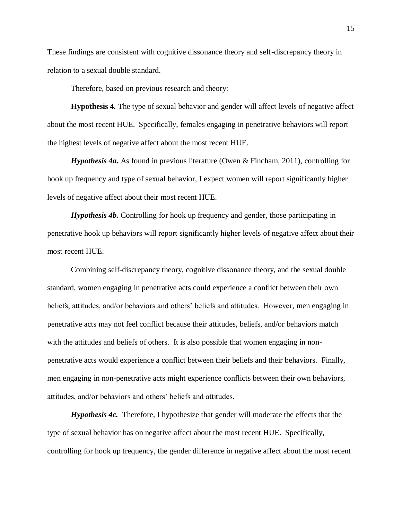These findings are consistent with cognitive dissonance theory and self-discrepancy theory in relation to a sexual double standard.

Therefore, based on previous research and theory:

**Hypothesis 4***.* The type of sexual behavior and gender will affect levels of negative affect about the most recent HUE. Specifically, females engaging in penetrative behaviors will report the highest levels of negative affect about the most recent HUE.

*Hypothesis 4a.* As found in previous literature (Owen & Fincham, 2011), controlling for hook up frequency and type of sexual behavior, I expect women will report significantly higher levels of negative affect about their most recent HUE.

*Hypothesis 4b.* Controlling for hook up frequency and gender, those participating in penetrative hook up behaviors will report significantly higher levels of negative affect about their most recent HUE.

Combining self-discrepancy theory, cognitive dissonance theory, and the sexual double standard, women engaging in penetrative acts could experience a conflict between their own beliefs, attitudes, and/or behaviors and others' beliefs and attitudes. However, men engaging in penetrative acts may not feel conflict because their attitudes, beliefs, and/or behaviors match with the attitudes and beliefs of others. It is also possible that women engaging in nonpenetrative acts would experience a conflict between their beliefs and their behaviors. Finally, men engaging in non-penetrative acts might experience conflicts between their own behaviors, attitudes, and/or behaviors and others' beliefs and attitudes.

*Hypothesis 4c.* Therefore, I hypothesize that gender will moderate the effects that the type of sexual behavior has on negative affect about the most recent HUE. Specifically, controlling for hook up frequency, the gender difference in negative affect about the most recent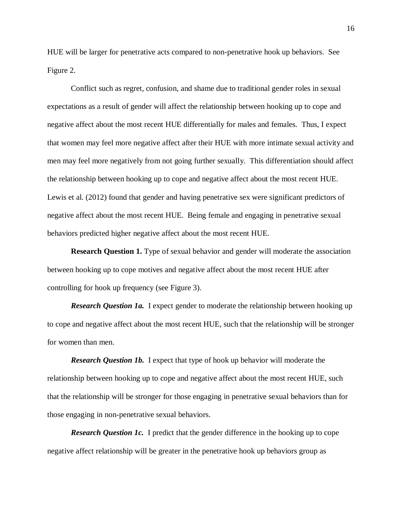HUE will be larger for penetrative acts compared to non-penetrative hook up behaviors. See Figure 2.

Conflict such as regret, confusion, and shame due to traditional gender roles in sexual expectations as a result of gender will affect the relationship between hooking up to cope and negative affect about the most recent HUE differentially for males and females. Thus, I expect that women may feel more negative affect after their HUE with more intimate sexual activity and men may feel more negatively from not going further sexually. This differentiation should affect the relationship between hooking up to cope and negative affect about the most recent HUE. Lewis et al. (2012) found that gender and having penetrative sex were significant predictors of negative affect about the most recent HUE. Being female and engaging in penetrative sexual behaviors predicted higher negative affect about the most recent HUE.

**Research Question 1.** Type of sexual behavior and gender will moderate the association between hooking up to cope motives and negative affect about the most recent HUE after controlling for hook up frequency (see Figure 3).

*Research Question 1a.* I expect gender to moderate the relationship between hooking up to cope and negative affect about the most recent HUE, such that the relationship will be stronger for women than men.

*Research Question 1b.* I expect that type of hook up behavior will moderate the relationship between hooking up to cope and negative affect about the most recent HUE, such that the relationship will be stronger for those engaging in penetrative sexual behaviors than for those engaging in non-penetrative sexual behaviors.

**Research Question 1c.** I predict that the gender difference in the hooking up to cope negative affect relationship will be greater in the penetrative hook up behaviors group as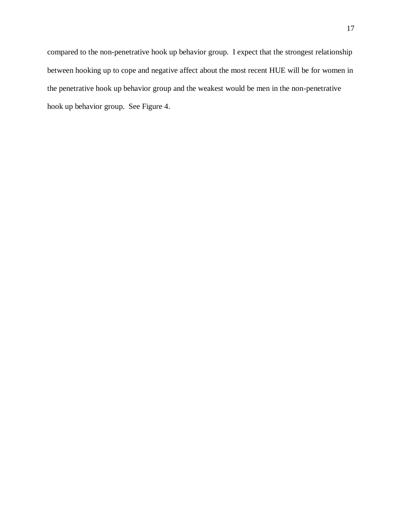compared to the non-penetrative hook up behavior group. I expect that the strongest relationship between hooking up to cope and negative affect about the most recent HUE will be for women in the penetrative hook up behavior group and the weakest would be men in the non-penetrative hook up behavior group. See Figure 4.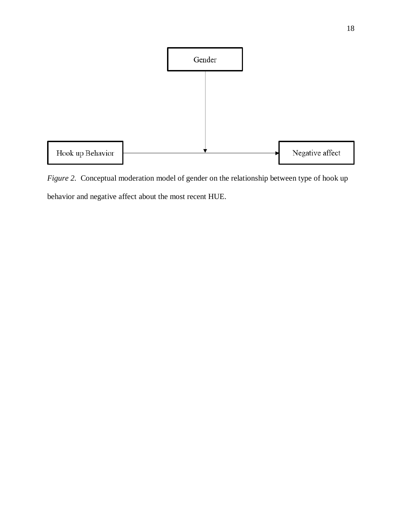

*Figure 2.* Conceptual moderation model of gender on the relationship between type of hook up behavior and negative affect about the most recent HUE.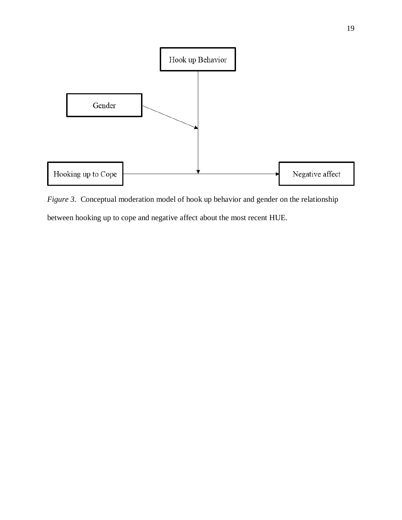

*Figure 3.* Conceptual moderation model of hook up behavior and gender on the relationship between hooking up to cope and negative affect about the most recent HUE.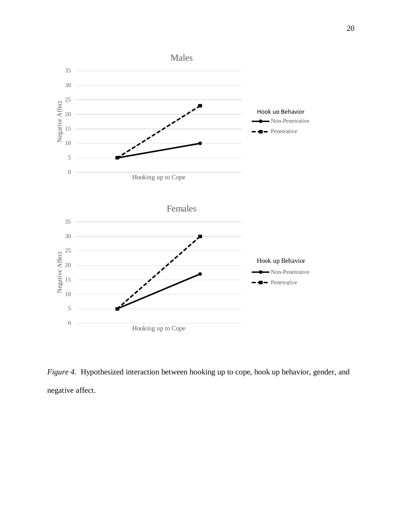

*Figure 4.* Hypothesized interaction between hooking up to cope, hook up behavior, gender, and negative affect.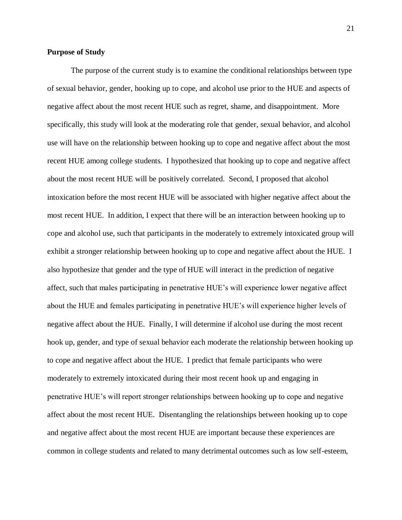### **Purpose of Study**

The purpose of the current study is to examine the conditional relationships between type of sexual behavior, gender, hooking up to cope, and alcohol use prior to the HUE and aspects of negative affect about the most recent HUE such as regret, shame, and disappointment. More specifically, this study will look at the moderating role that gender, sexual behavior, and alcohol use will have on the relationship between hooking up to cope and negative affect about the most recent HUE among college students. I hypothesized that hooking up to cope and negative affect about the most recent HUE will be positively correlated. Second, I proposed that alcohol intoxication before the most recent HUE will be associated with higher negative affect about the most recent HUE. In addition, I expect that there will be an interaction between hooking up to cope and alcohol use, such that participants in the moderately to extremely intoxicated group will exhibit a stronger relationship between hooking up to cope and negative affect about the HUE. I also hypothesize that gender and the type of HUE will interact in the prediction of negative affect, such that males participating in penetrative HUE's will experience lower negative affect about the HUE and females participating in penetrative HUE's will experience higher levels of negative affect about the HUE. Finally, I will determine if alcohol use during the most recent hook up, gender, and type of sexual behavior each moderate the relationship between hooking up to cope and negative affect about the HUE. I predict that female participants who were moderately to extremely intoxicated during their most recent hook up and engaging in penetrative HUE's will report stronger relationships between hooking up to cope and negative affect about the most recent HUE. Disentangling the relationships between hooking up to cope and negative affect about the most recent HUE are important because these experiences are common in college students and related to many detrimental outcomes such as low self-esteem,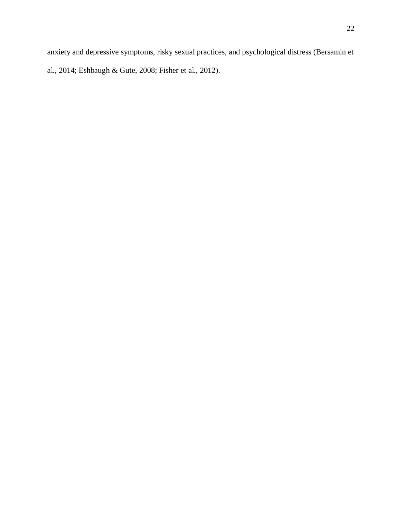anxiety and depressive symptoms, risky sexual practices, and psychological distress (Bersamin et al., 2014; Eshbaugh & Gute, 2008; Fisher et al., 2012).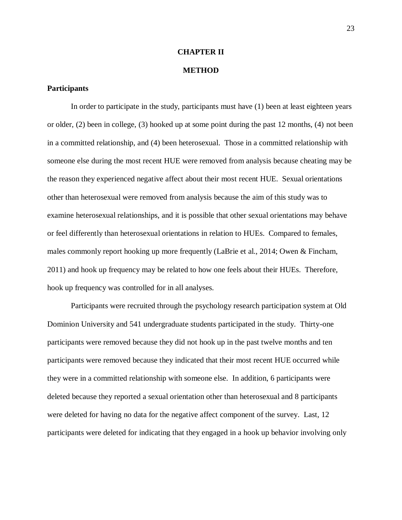### **CHAPTER II**

### **METHOD**

### **Participants**

In order to participate in the study, participants must have (1) been at least eighteen years or older, (2) been in college, (3) hooked up at some point during the past 12 months, (4) not been in a committed relationship, and (4) been heterosexual. Those in a committed relationship with someone else during the most recent HUE were removed from analysis because cheating may be the reason they experienced negative affect about their most recent HUE. Sexual orientations other than heterosexual were removed from analysis because the aim of this study was to examine heterosexual relationships, and it is possible that other sexual orientations may behave or feel differently than heterosexual orientations in relation to HUEs. Compared to females, males commonly report hooking up more frequently (LaBrie et al., 2014; Owen & Fincham, 2011) and hook up frequency may be related to how one feels about their HUEs. Therefore, hook up frequency was controlled for in all analyses.

Participants were recruited through the psychology research participation system at Old Dominion University and 541 undergraduate students participated in the study. Thirty-one participants were removed because they did not hook up in the past twelve months and ten participants were removed because they indicated that their most recent HUE occurred while they were in a committed relationship with someone else. In addition, 6 participants were deleted because they reported a sexual orientation other than heterosexual and 8 participants were deleted for having no data for the negative affect component of the survey. Last, 12 participants were deleted for indicating that they engaged in a hook up behavior involving only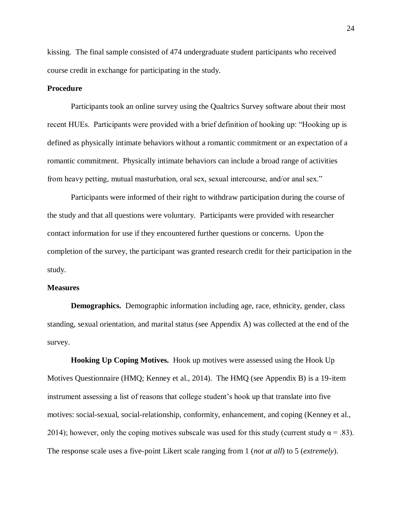kissing. The final sample consisted of 474 undergraduate student participants who received course credit in exchange for participating in the study.

### **Procedure**

Participants took an online survey using the Qualtrics Survey software about their most recent HUEs. Participants were provided with a brief definition of hooking up: "Hooking up is defined as physically intimate behaviors without a romantic commitment or an expectation of a romantic commitment. Physically intimate behaviors can include a broad range of activities from heavy petting, mutual masturbation, oral sex, sexual intercourse, and/or anal sex."

Participants were informed of their right to withdraw participation during the course of the study and that all questions were voluntary. Participants were provided with researcher contact information for use if they encountered further questions or concerns. Upon the completion of the survey, the participant was granted research credit for their participation in the study.

#### **Measures**

**Demographics.** Demographic information including age, race, ethnicity, gender, class standing, sexual orientation, and marital status (see Appendix A) was collected at the end of the survey.

**Hooking Up Coping Motives.** Hook up motives were assessed using the Hook Up Motives Questionnaire (HMQ; Kenney et al., 2014). The HMQ (see Appendix B) is a 19-item instrument assessing a list of reasons that college student's hook up that translate into five motives: social-sexual, social-relationship, conformity, enhancement, and coping (Kenney et al., 2014); however, only the coping motives subscale was used for this study (current study  $\alpha = .83$ ). The response scale uses a five-point Likert scale ranging from 1 (*not at all*) to 5 (*extremely*).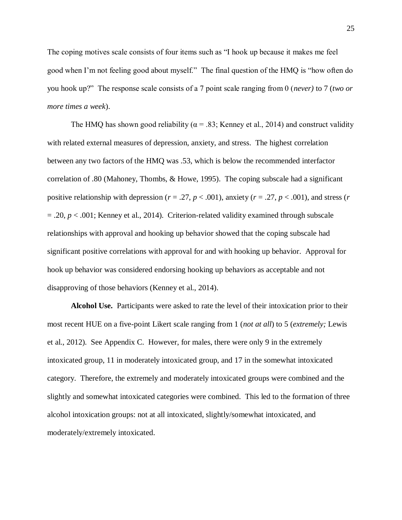The coping motives scale consists of four items such as "I hook up because it makes me feel good when I'm not feeling good about myself." The final question of the HMQ is "how often do you hook up?" The response scale consists of a 7 point scale ranging from 0 (*never)* to 7 (*two or more times a week*).

The HMO has shown good reliability ( $\alpha$  = .83; Kenney et al., 2014) and construct validity with related external measures of depression, anxiety, and stress. The highest correlation between any two factors of the HMQ was .53, which is below the recommended interfactor correlation of .80 (Mahoney, Thombs, & Howe, 1995). The coping subscale had a significant positive relationship with depression ( $r = .27$ ,  $p < .001$ ), anxiety ( $r = .27$ ,  $p < .001$ ), and stress ( $r = .27$  $= .20, p < .001$ ; Kenney et al., 2014). Criterion-related validity examined through subscale relationships with approval and hooking up behavior showed that the coping subscale had significant positive correlations with approval for and with hooking up behavior. Approval for hook up behavior was considered endorsing hooking up behaviors as acceptable and not disapproving of those behaviors (Kenney et al., 2014).

**Alcohol Use.** Participants were asked to rate the level of their intoxication prior to their most recent HUE on a five-point Likert scale ranging from 1 (*not at all*) to 5 (*extremely;* Lewis et al., 2012). See Appendix C. However, for males, there were only 9 in the extremely intoxicated group, 11 in moderately intoxicated group, and 17 in the somewhat intoxicated category. Therefore, the extremely and moderately intoxicated groups were combined and the slightly and somewhat intoxicated categories were combined. This led to the formation of three alcohol intoxication groups: not at all intoxicated, slightly/somewhat intoxicated, and moderately/extremely intoxicated.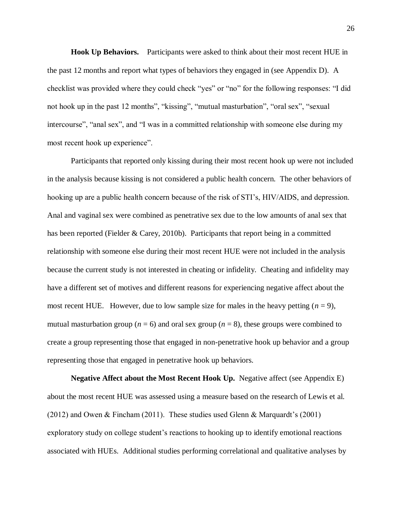**Hook Up Behaviors.** Participants were asked to think about their most recent HUE in the past 12 months and report what types of behaviors they engaged in (see Appendix D). A checklist was provided where they could check "yes" or "no" for the following responses: "I did not hook up in the past 12 months", "kissing", "mutual masturbation", "oral sex", "sexual intercourse", "anal sex", and "I was in a committed relationship with someone else during my most recent hook up experience".

Participants that reported only kissing during their most recent hook up were not included in the analysis because kissing is not considered a public health concern. The other behaviors of hooking up are a public health concern because of the risk of STI's, HIV/AIDS, and depression. Anal and vaginal sex were combined as penetrative sex due to the low amounts of anal sex that has been reported (Fielder & Carey, 2010b). Participants that report being in a committed relationship with someone else during their most recent HUE were not included in the analysis because the current study is not interested in cheating or infidelity. Cheating and infidelity may have a different set of motives and different reasons for experiencing negative affect about the most recent HUE. However, due to low sample size for males in the heavy petting  $(n = 9)$ , mutual masturbation group ( $n = 6$ ) and oral sex group ( $n = 8$ ), these groups were combined to create a group representing those that engaged in non-penetrative hook up behavior and a group representing those that engaged in penetrative hook up behaviors.

**Negative Affect about the Most Recent Hook Up.** Negative affect (see Appendix E) about the most recent HUE was assessed using a measure based on the research of Lewis et al. (2012) and Owen & Fincham (2011). These studies used Glenn & Marquardt's (2001) exploratory study on college student's reactions to hooking up to identify emotional reactions associated with HUEs. Additional studies performing correlational and qualitative analyses by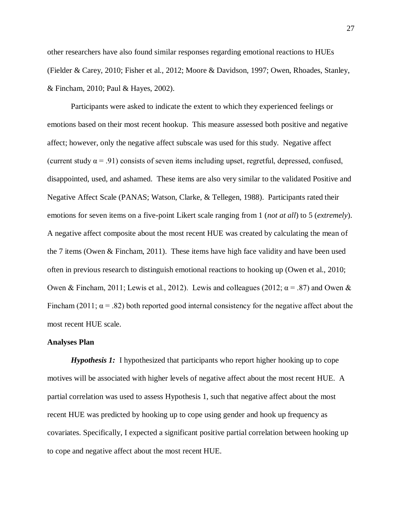other researchers have also found similar responses regarding emotional reactions to HUEs (Fielder & Carey, 2010; Fisher et al., 2012; Moore & Davidson, 1997; Owen, Rhoades, Stanley, & Fincham, 2010; Paul & Hayes, 2002).

Participants were asked to indicate the extent to which they experienced feelings or emotions based on their most recent hookup. This measure assessed both positive and negative affect; however, only the negative affect subscale was used for this study. Negative affect (current study  $\alpha = .91$ ) consists of seven items including upset, regretful, depressed, confused, disappointed, used, and ashamed. These items are also very similar to the validated Positive and Negative Affect Scale (PANAS; Watson, Clarke, & Tellegen, 1988). Participants rated their emotions for seven items on a five-point Likert scale ranging from 1 (*not at all*) to 5 (*extremely*). A negative affect composite about the most recent HUE was created by calculating the mean of the 7 items (Owen & Fincham, 2011). These items have high face validity and have been used often in previous research to distinguish emotional reactions to hooking up (Owen et al., 2010; Owen & Fincham, 2011; Lewis et al., 2012). Lewis and colleagues (2012;  $\alpha = .87$ ) and Owen & Fincham (2011;  $\alpha$  = .82) both reported good internal consistency for the negative affect about the most recent HUE scale.

#### **Analyses Plan**

*Hypothesis 1:* I hypothesized that participants who report higher hooking up to cope motives will be associated with higher levels of negative affect about the most recent HUE. A partial correlation was used to assess Hypothesis 1, such that negative affect about the most recent HUE was predicted by hooking up to cope using gender and hook up frequency as covariates. Specifically, I expected a significant positive partial correlation between hooking up to cope and negative affect about the most recent HUE.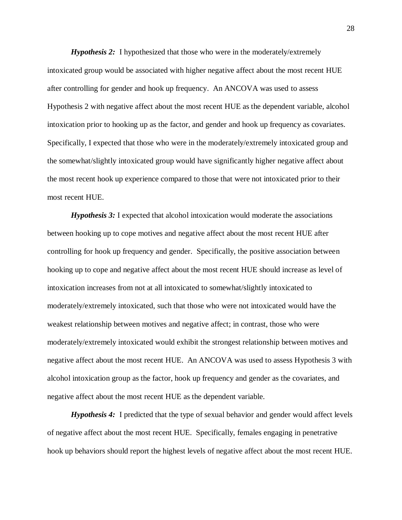*Hypothesis 2:* I hypothesized that those who were in the moderately/extremely intoxicated group would be associated with higher negative affect about the most recent HUE after controlling for gender and hook up frequency. An ANCOVA was used to assess Hypothesis 2 with negative affect about the most recent HUE as the dependent variable, alcohol intoxication prior to hooking up as the factor, and gender and hook up frequency as covariates. Specifically, I expected that those who were in the moderately/extremely intoxicated group and the somewhat/slightly intoxicated group would have significantly higher negative affect about the most recent hook up experience compared to those that were not intoxicated prior to their most recent HUE.

*Hypothesis 3:* I expected that alcohol intoxication would moderate the associations between hooking up to cope motives and negative affect about the most recent HUE after controlling for hook up frequency and gender. Specifically, the positive association between hooking up to cope and negative affect about the most recent HUE should increase as level of intoxication increases from not at all intoxicated to somewhat/slightly intoxicated to moderately/extremely intoxicated, such that those who were not intoxicated would have the weakest relationship between motives and negative affect; in contrast, those who were moderately/extremely intoxicated would exhibit the strongest relationship between motives and negative affect about the most recent HUE. An ANCOVA was used to assess Hypothesis 3 with alcohol intoxication group as the factor, hook up frequency and gender as the covariates, and negative affect about the most recent HUE as the dependent variable.

*Hypothesis 4:* I predicted that the type of sexual behavior and gender would affect levels of negative affect about the most recent HUE. Specifically, females engaging in penetrative hook up behaviors should report the highest levels of negative affect about the most recent HUE.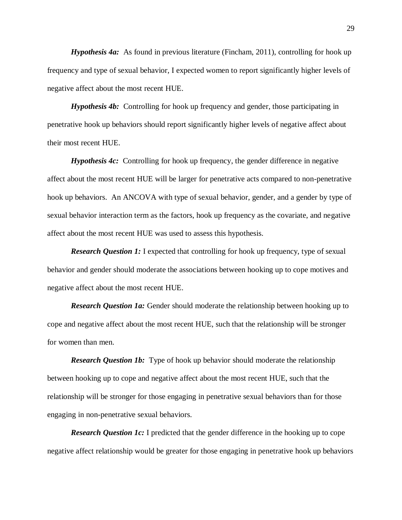*Hypothesis 4a:* As found in previous literature (Fincham, 2011), controlling for hook up frequency and type of sexual behavior, I expected women to report significantly higher levels of negative affect about the most recent HUE.

*Hypothesis 4b:* Controlling for hook up frequency and gender, those participating in penetrative hook up behaviors should report significantly higher levels of negative affect about their most recent HUE.

*Hypothesis 4c:* Controlling for hook up frequency, the gender difference in negative affect about the most recent HUE will be larger for penetrative acts compared to non-penetrative hook up behaviors. An ANCOVA with type of sexual behavior, gender, and a gender by type of sexual behavior interaction term as the factors, hook up frequency as the covariate, and negative affect about the most recent HUE was used to assess this hypothesis.

*Research Question 1:* I expected that controlling for hook up frequency, type of sexual behavior and gender should moderate the associations between hooking up to cope motives and negative affect about the most recent HUE.

*Research Question 1a:* Gender should moderate the relationship between hooking up to cope and negative affect about the most recent HUE, such that the relationship will be stronger for women than men.

*Research Question 1b:* Type of hook up behavior should moderate the relationship between hooking up to cope and negative affect about the most recent HUE, such that the relationship will be stronger for those engaging in penetrative sexual behaviors than for those engaging in non-penetrative sexual behaviors.

*Research Question 1c:* I predicted that the gender difference in the hooking up to cope negative affect relationship would be greater for those engaging in penetrative hook up behaviors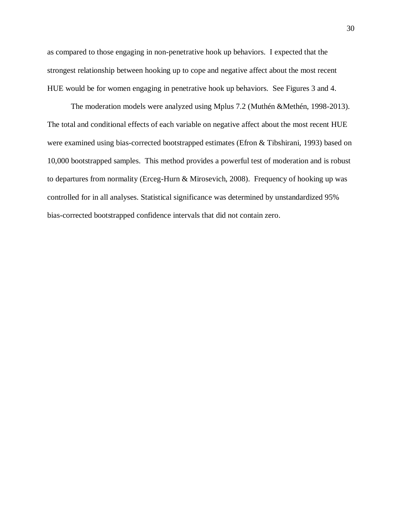as compared to those engaging in non-penetrative hook up behaviors. I expected that the strongest relationship between hooking up to cope and negative affect about the most recent HUE would be for women engaging in penetrative hook up behaviors. See Figures 3 and 4.

The moderation models were analyzed using Mplus 7.2 (Muthén &Methén, 1998-2013). The total and conditional effects of each variable on negative affect about the most recent HUE were examined using bias-corrected bootstrapped estimates (Efron & Tibshirani, 1993) based on 10,000 bootstrapped samples. This method provides a powerful test of moderation and is robust to departures from normality (Erceg-Hurn & Mirosevich, 2008). Frequency of hooking up was controlled for in all analyses. Statistical significance was determined by unstandardized 95% bias-corrected bootstrapped confidence intervals that did not contain zero.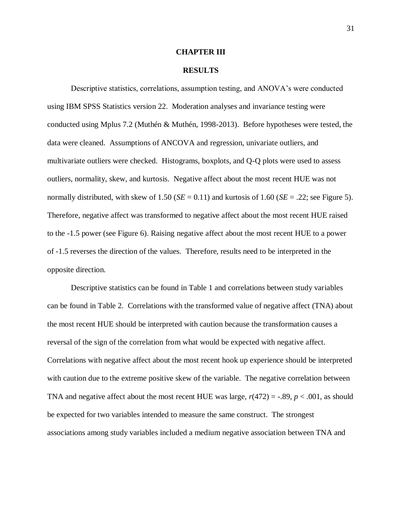### **CHAPTER III**

### **RESULTS**

Descriptive statistics, correlations, assumption testing, and ANOVA's were conducted using IBM SPSS Statistics version 22. Moderation analyses and invariance testing were conducted using Mplus 7.2 (Muthén & Muthén, 1998-2013). Before hypotheses were tested, the data were cleaned. Assumptions of ANCOVA and regression, univariate outliers, and multivariate outliers were checked. Histograms, boxplots, and Q-Q plots were used to assess outliers, normality, skew, and kurtosis. Negative affect about the most recent HUE was not normally distributed, with skew of 1.50 ( $SE = 0.11$ ) and kurtosis of 1.60 ( $SE = .22$ ; see Figure 5). Therefore, negative affect was transformed to negative affect about the most recent HUE raised to the -1.5 power (see Figure 6). Raising negative affect about the most recent HUE to a power of -1.5 reverses the direction of the values. Therefore, results need to be interpreted in the opposite direction.

Descriptive statistics can be found in Table 1 and correlations between study variables can be found in Table 2. Correlations with the transformed value of negative affect (TNA) about the most recent HUE should be interpreted with caution because the transformation causes a reversal of the sign of the correlation from what would be expected with negative affect. Correlations with negative affect about the most recent hook up experience should be interpreted with caution due to the extreme positive skew of the variable. The negative correlation between TNA and negative affect about the most recent HUE was large,  $r(472) = -.89$ ,  $p < .001$ , as should be expected for two variables intended to measure the same construct. The strongest associations among study variables included a medium negative association between TNA and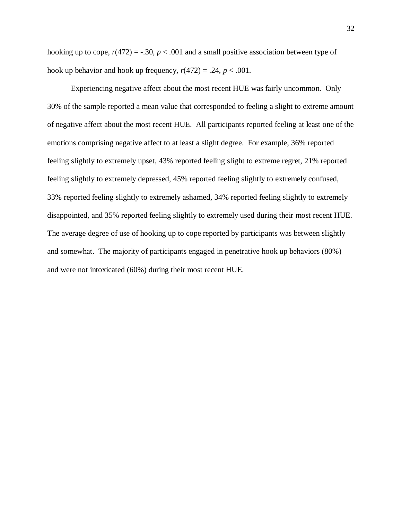hooking up to cope,  $r(472) = -.30$ ,  $p < .001$  and a small positive association between type of hook up behavior and hook up frequency,  $r(472) = .24$ ,  $p < .001$ .

Experiencing negative affect about the most recent HUE was fairly uncommon. Only 30% of the sample reported a mean value that corresponded to feeling a slight to extreme amount of negative affect about the most recent HUE. All participants reported feeling at least one of the emotions comprising negative affect to at least a slight degree. For example, 36% reported feeling slightly to extremely upset, 43% reported feeling slight to extreme regret, 21% reported feeling slightly to extremely depressed, 45% reported feeling slightly to extremely confused, 33% reported feeling slightly to extremely ashamed, 34% reported feeling slightly to extremely disappointed, and 35% reported feeling slightly to extremely used during their most recent HUE. The average degree of use of hooking up to cope reported by participants was between slightly and somewhat. The majority of participants engaged in penetrative hook up behaviors (80%) and were not intoxicated (60%) during their most recent HUE.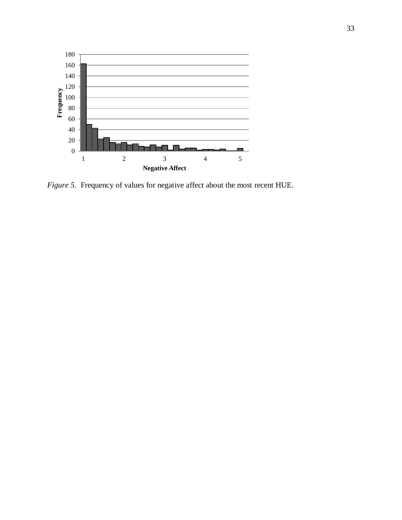

*Figure 5.* Frequency of values for negative affect about the most recent HUE.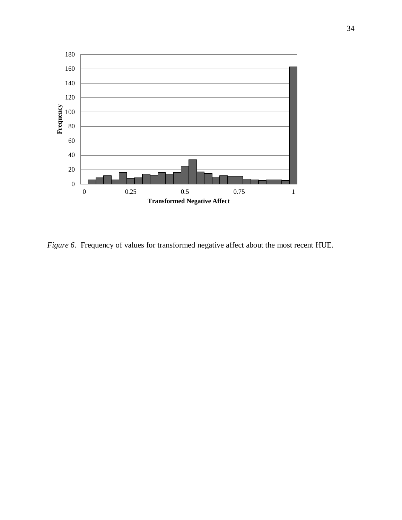

*Figure 6.* Frequency of values for transformed negative affect about the most recent HUE.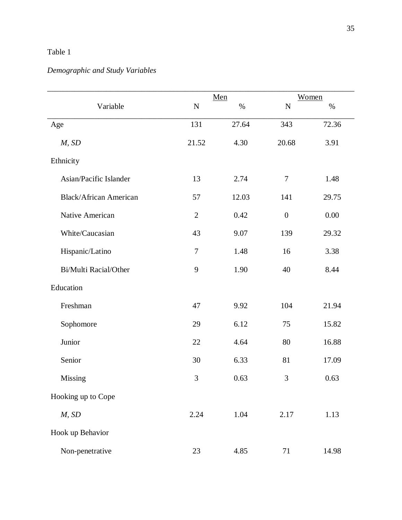# Table 1

# *Demographic and Study Variables*

|                               |                | $Men$ |                  | Women |
|-------------------------------|----------------|-------|------------------|-------|
| Variable                      | ${\bf N}$      | $\%$  | ${\bf N}$        | $\%$  |
| Age                           | 131            | 27.64 | 343              | 72.36 |
| M, SD                         | 21.52          | 4.30  | 20.68            | 3.91  |
| Ethnicity                     |                |       |                  |       |
| Asian/Pacific Islander        | 13             | 2.74  | $\boldsymbol{7}$ | 1.48  |
| <b>Black/African American</b> | 57             | 12.03 | 141              | 29.75 |
| Native American               | $\overline{2}$ | 0.42  | $\boldsymbol{0}$ | 0.00  |
| White/Caucasian               | 43             | 9.07  | 139              | 29.32 |
| Hispanic/Latino               | $\overline{7}$ | 1.48  | 16               | 3.38  |
| Bi/Multi Racial/Other         | 9              | 1.90  | 40               | 8.44  |
| Education                     |                |       |                  |       |
| Freshman                      | 47             | 9.92  | 104              | 21.94 |
| Sophomore                     | 29             | 6.12  | 75               | 15.82 |
| Junior                        | 22             | 4.64  | 80               | 16.88 |
| Senior                        | 30             | 6.33  | 81               | 17.09 |
| Missing                       | 3              | 0.63  | 3                | 0.63  |
| Hooking up to Cope            |                |       |                  |       |
| M, SD                         | 2.24           | 1.04  | 2.17             | 1.13  |
| Hook up Behavior              |                |       |                  |       |
| Non-penetrative               | 23             | 4.85  | 71               | 14.98 |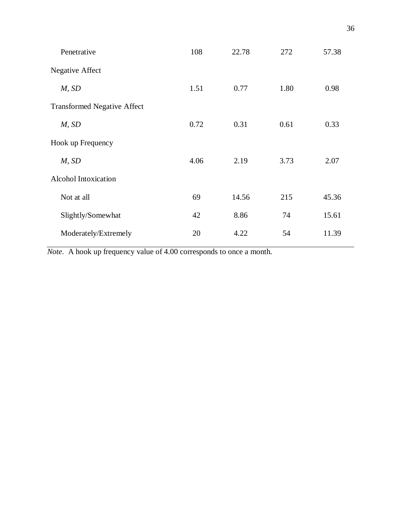| Penetrative                        | 108  | 22.78 | 272  | 57.38 |
|------------------------------------|------|-------|------|-------|
| Negative Affect                    |      |       |      |       |
| M, SD                              | 1.51 | 0.77  | 1.80 | 0.98  |
| <b>Transformed Negative Affect</b> |      |       |      |       |
| M, SD                              | 0.72 | 0.31  | 0.61 | 0.33  |
| Hook up Frequency                  |      |       |      |       |
| M, SD                              | 4.06 | 2.19  | 3.73 | 2.07  |
| Alcohol Intoxication               |      |       |      |       |
| Not at all                         | 69   | 14.56 | 215  | 45.36 |
| Slightly/Somewhat                  | 42   | 8.86  | 74   | 15.61 |
| Moderately/Extremely               | 20   | 4.22  | 54   | 11.39 |

*Note*. A hook up frequency value of 4.00 corresponds to once a month.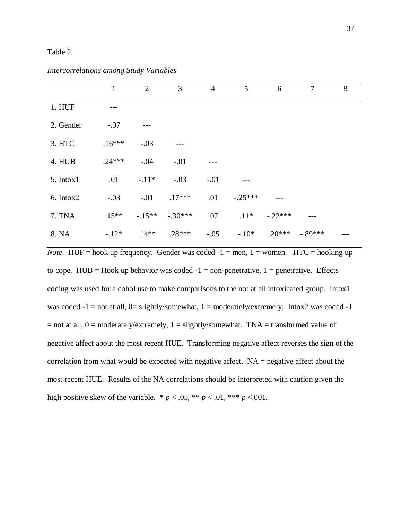### Table 2.

|           | 1        | 2       | 3         | $\overline{4}$ | 5         | 6         | $\overline{7}$ | 8 |
|-----------|----------|---------|-----------|----------------|-----------|-----------|----------------|---|
| 1. HUF    |          |         |           |                |           |           |                |   |
| 2. Gender | $-.07$   |         |           |                |           |           |                |   |
| 3. HTC    | $.16***$ | $-.03$  | ---       |                |           |           |                |   |
| 4. HUB    | $.24***$ | $-.04$  | $-.01$    |                |           |           |                |   |
| 5. Intox1 | .01      | $-.11*$ | $-.03$    | $-.01$         |           |           |                |   |
| 6. Intox2 | $-.03$   | $-.01$  | $.17***$  | .01            | $-.25***$ |           |                |   |
| 7. TNA    | $.15**$  | $-15**$ | $-.30***$ | .07            | $.11*$    | $-.22***$ |                |   |
| 8. NA     | $-.12*$  | $.14**$ | $.28***$  | $-.05$         | $-10*$    | $.20***$  | $-89***$       |   |

*Intercorrelations among Study Variables*

*Note*. HUF = hook up frequency. Gender was coded  $-1$  = men,  $1$  = women. HTC = hooking up to cope. HUB = Hook up behavior was coded  $-1$  = non-penetrative, 1 = penetrative. Effects coding was used for alcohol use to make comparisons to the not at all intoxicated group. Intox1 was coded  $-1$  = not at all, 0= slightly/somewhat, 1 = moderately/extremely. Intox2 was coded  $-1$  $=$  not at all,  $0 =$  moderately/extremely,  $1 =$  slightly/somewhat. TNA = transformed value of negative affect about the most recent HUE. Transforming negative affect reverses the sign of the correlation from what would be expected with negative affect.  $NA$  = negative affect about the most recent HUE. Results of the NA correlations should be interpreted with caution given the high positive skew of the variable.  $* p < .05, ** p < .01, *** p < .001$ .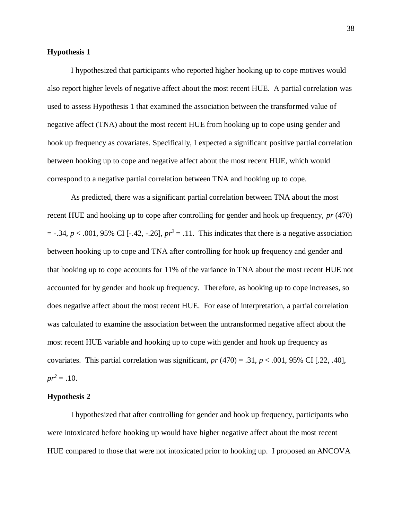## **Hypothesis 1**

I hypothesized that participants who reported higher hooking up to cope motives would also report higher levels of negative affect about the most recent HUE. A partial correlation was used to assess Hypothesis 1 that examined the association between the transformed value of negative affect (TNA) about the most recent HUE from hooking up to cope using gender and hook up frequency as covariates. Specifically, I expected a significant positive partial correlation between hooking up to cope and negative affect about the most recent HUE, which would correspond to a negative partial correlation between TNA and hooking up to cope.

As predicted, there was a significant partial correlation between TNA about the most recent HUE and hooking up to cope after controlling for gender and hook up frequency, *pr* (470)  $=$  -.34,  $p < .001$ , 95% CI [-.42, -.26],  $pr^2 = .11$ . This indicates that there is a negative association between hooking up to cope and TNA after controlling for hook up frequency and gender and that hooking up to cope accounts for 11% of the variance in TNA about the most recent HUE not accounted for by gender and hook up frequency. Therefore, as hooking up to cope increases, so does negative affect about the most recent HUE. For ease of interpretation, a partial correlation was calculated to examine the association between the untransformed negative affect about the most recent HUE variable and hooking up to cope with gender and hook up frequency as covariates. This partial correlation was significant,  $pr(470) = .31$ ,  $p < .001$ , 95% CI [.22, .40],  $pr^2 = .10$ .

### **Hypothesis 2**

I hypothesized that after controlling for gender and hook up frequency, participants who were intoxicated before hooking up would have higher negative affect about the most recent HUE compared to those that were not intoxicated prior to hooking up. I proposed an ANCOVA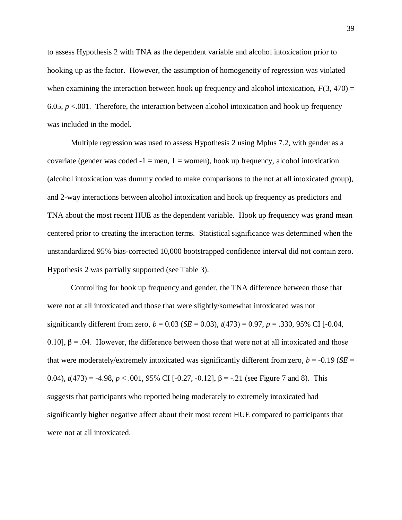to assess Hypothesis 2 with TNA as the dependent variable and alcohol intoxication prior to hooking up as the factor. However, the assumption of homogeneity of regression was violated when examining the interaction between hook up frequency and alcohol intoxication,  $F(3, 470) =$ 6.05,  $p < 0.01$ . Therefore, the interaction between alcohol intoxication and hook up frequency was included in the model.

Multiple regression was used to assess Hypothesis 2 using Mplus 7.2, with gender as a covariate (gender was coded  $-1 = \text{men}$ ,  $1 = \text{women}$ ), hook up frequency, alcohol intoxication (alcohol intoxication was dummy coded to make comparisons to the not at all intoxicated group), and 2-way interactions between alcohol intoxication and hook up frequency as predictors and TNA about the most recent HUE as the dependent variable. Hook up frequency was grand mean centered prior to creating the interaction terms. Statistical significance was determined when the unstandardized 95% bias-corrected 10,000 bootstrapped confidence interval did not contain zero. Hypothesis 2 was partially supported (see Table 3).

Controlling for hook up frequency and gender, the TNA difference between those that were not at all intoxicated and those that were slightly/somewhat intoxicated was not significantly different from zero,  $b = 0.03$  (*SE* = 0.03),  $t(473) = 0.97$ ,  $p = .330$ , 95% CI [-0.04, 0.10],  $\beta$  = .04. However, the difference between those that were not at all intoxicated and those that were moderately/extremely intoxicated was significantly different from zero,  $b = -0.19$  (*SE* = 0.04),  $t(473) = -4.98$ ,  $p < .001$ , 95% CI [-0.27, -0.12], β = -.21 (see Figure 7 and 8). This suggests that participants who reported being moderately to extremely intoxicated had significantly higher negative affect about their most recent HUE compared to participants that were not at all intoxicated.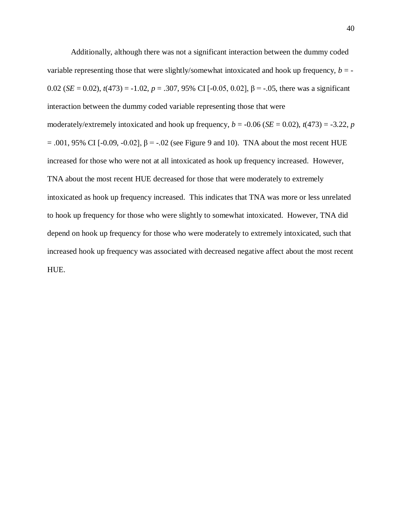Additionally, although there was not a significant interaction between the dummy coded variable representing those that were slightly/somewhat intoxicated and hook up frequency,  $b = -$ 0.02 (*SE* = 0.02), *t*(473) = -1.02, *p* = .307, 95% CI [-0.05, 0.02], β = -.05, there was a significant interaction between the dummy coded variable representing those that were moderately/extremely intoxicated and hook up frequency,  $b = -0.06$  (*SE* = 0.02),  $t(473) = -3.22$ , *p*  $= .001, 95\%$  CI [-0.09, -0.02], β = -.02 (see Figure 9 and 10). TNA about the most recent HUE increased for those who were not at all intoxicated as hook up frequency increased. However, TNA about the most recent HUE decreased for those that were moderately to extremely intoxicated as hook up frequency increased. This indicates that TNA was more or less unrelated to hook up frequency for those who were slightly to somewhat intoxicated. However, TNA did depend on hook up frequency for those who were moderately to extremely intoxicated, such that increased hook up frequency was associated with decreased negative affect about the most recent HUE.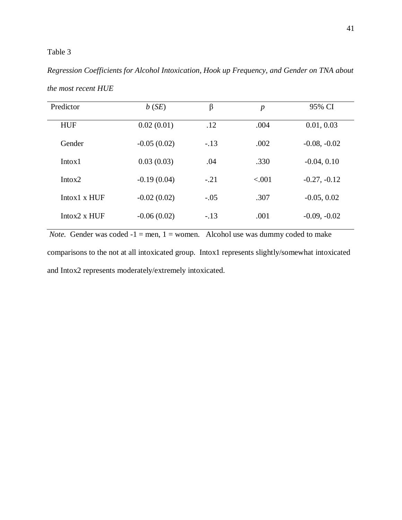## Table 3

# *Regression Coefficients for Alcohol Intoxication, Hook up Frequency, and Gender on TNA about the most recent HUE*

| Predictor            | b(SE)         | β      | $\boldsymbol{p}$ | 95% CI         |
|----------------------|---------------|--------|------------------|----------------|
| <b>HUF</b>           | 0.02(0.01)    | .12    | .004             | 0.01, 0.03     |
| Gender               | $-0.05(0.02)$ | $-.13$ | .002             | $-0.08, -0.02$ |
| Intox1               | 0.03(0.03)    | .04    | .330             | $-0.04, 0.10$  |
| Intox <sub>2</sub>   | $-0.19(0.04)$ | $-.21$ | < .001           | $-0.27, -0.12$ |
| $Intox1 \times HUF$  | $-0.02(0.02)$ | $-.05$ | .307             | $-0.05, 0.02$  |
| Intox $2 \times HUF$ | $-0.06(0.02)$ | $-.13$ | .001             | $-0.09, -0.02$ |
|                      |               |        |                  |                |

*Note.* Gender was coded  $-1 =$  men,  $1 =$  women. Alcohol use was dummy coded to make comparisons to the not at all intoxicated group. Intox1 represents slightly/somewhat intoxicated and Intox2 represents moderately/extremely intoxicated.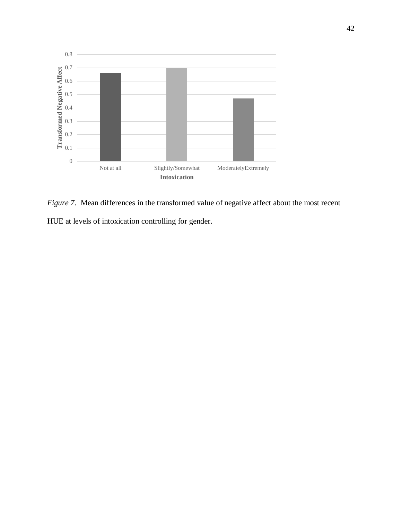

*Figure 7.* Mean differences in the transformed value of negative affect about the most recent HUE at levels of intoxication controlling for gender.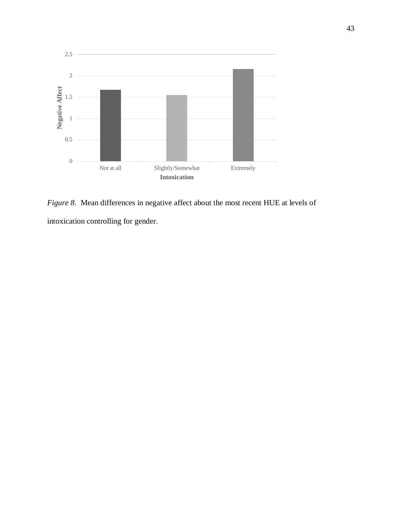

*Figure 8.* Mean differences in negative affect about the most recent HUE at levels of intoxication controlling for gender.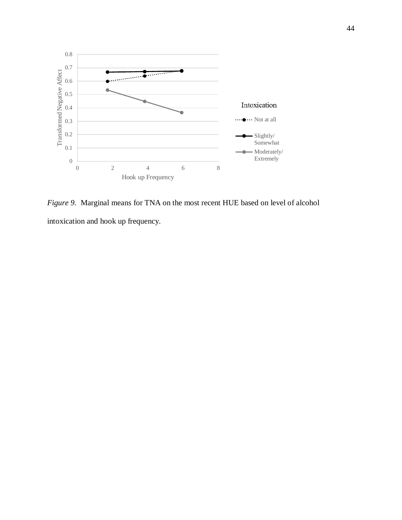

*Figure 9.* Marginal means for TNA on the most recent HUE based on level of alcohol intoxication and hook up frequency.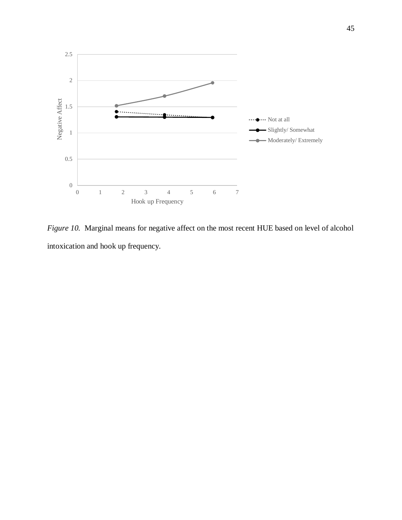

*Figure 10.* Marginal means for negative affect on the most recent HUE based on level of alcohol intoxication and hook up frequency.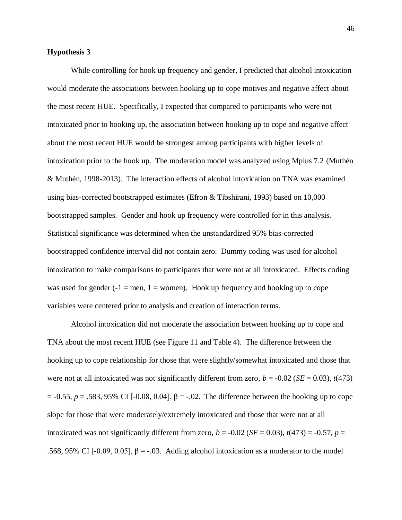## **Hypothesis 3**

While controlling for hook up frequency and gender, I predicted that alcohol intoxication would moderate the associations between hooking up to cope motives and negative affect about the most recent HUE. Specifically, I expected that compared to participants who were not intoxicated prior to hooking up, the association between hooking up to cope and negative affect about the most recent HUE would be strongest among participants with higher levels of intoxication prior to the hook up. The moderation model was analyzed using Mplus 7.2 (Muthén & Muthén, 1998-2013). The interaction effects of alcohol intoxication on TNA was examined using bias-corrected bootstrapped estimates (Efron & Tibshirani, 1993) based on 10,000 bootstrapped samples. Gender and hook up frequency were controlled for in this analysis. Statistical significance was determined when the unstandardized 95% bias-corrected bootstrapped confidence interval did not contain zero. Dummy coding was used for alcohol intoxication to make comparisons to participants that were not at all intoxicated. Effects coding was used for gender  $(-1)$  = men, 1 = women). Hook up frequency and hooking up to cope variables were centered prior to analysis and creation of interaction terms.

Alcohol intoxication did not moderate the association between hooking up to cope and TNA about the most recent HUE (see Figure 11 and Table 4). The difference between the hooking up to cope relationship for those that were slightly/somewhat intoxicated and those that were not at all intoxicated was not significantly different from zero,  $b = -0.02$  (*SE* = 0.03),  $t(473)$  $= -0.55$ , *p* = .583, 95% CI [-0.08, 0.04], β = -.02. The difference between the hooking up to cope slope for those that were moderately/extremely intoxicated and those that were not at all intoxicated was not significantly different from zero,  $b = -0.02$  (*SE* = 0.03),  $t(473) = -0.57$ ,  $p =$ .568, 95% CI [-0.09, 0.05],  $β = -.03$ . Adding alcohol intoxication as a moderator to the model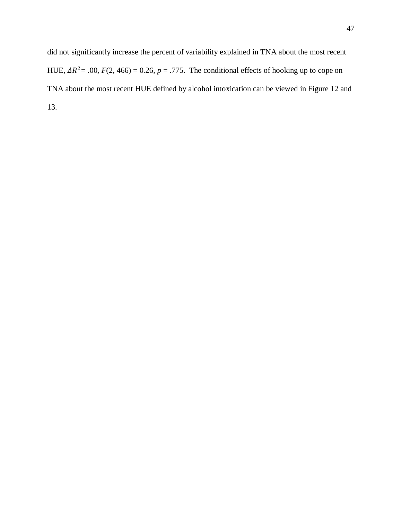did not significantly increase the percent of variability explained in TNA about the most recent HUE,  $\Delta R^2$  = .00,  $F(2, 466) = 0.26$ ,  $p = .775$ . The conditional effects of hooking up to cope on TNA about the most recent HUE defined by alcohol intoxication can be viewed in Figure 12 and 13.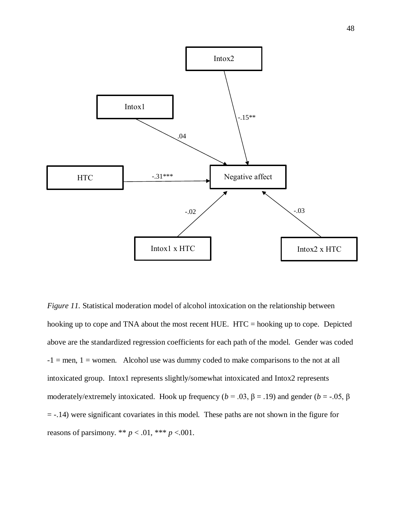

*Figure 11.* Statistical moderation model of alcohol intoxication on the relationship between hooking up to cope and TNA about the most recent HUE. HTC = hooking up to cope. Depicted above are the standardized regression coefficients for each path of the model. Gender was coded  $-1$  = men, 1 = women. Alcohol use was dummy coded to make comparisons to the not at all intoxicated group. Intox1 represents slightly/somewhat intoxicated and Intox2 represents moderately/extremely intoxicated. Hook up frequency ( $b = .03$ ,  $\beta = .19$ ) and gender ( $b = .05$ ,  $\beta$ ) = -.14) were significant covariates in this model. These paths are not shown in the figure for reasons of parsimony. \*\*  $p < .01$ , \*\*\*  $p < .001$ .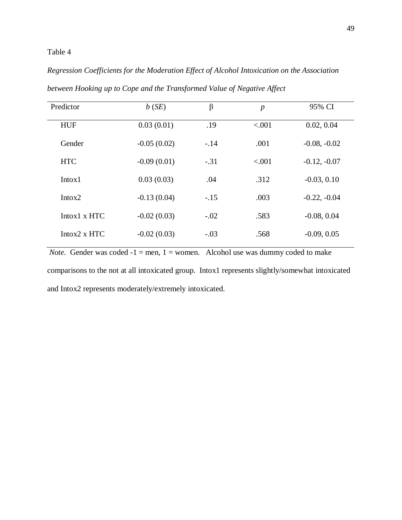## Table 4

# *Regression Coefficients for the Moderation Effect of Alcohol Intoxication on the Association*

| Predictor            | b(SE)         | $\beta$ | $\boldsymbol{p}$ | 95% CI         |
|----------------------|---------------|---------|------------------|----------------|
| <b>HUF</b>           | 0.03(0.01)    | .19     | < .001           | 0.02, 0.04     |
| Gender               | $-0.05(0.02)$ | $-.14$  | .001             | $-0.08, -0.02$ |
| <b>HTC</b>           | $-0.09(0.01)$ | $-.31$  | < 0.01           | $-0.12, -0.07$ |
| Intox1               | 0.03(0.03)    | .04     | .312             | $-0.03, 0.10$  |
| Intox <sub>2</sub>   | $-0.13(0.04)$ | $-.15$  | .003             | $-0.22, -0.04$ |
| $Intox1 \times HTC$  | $-0.02(0.03)$ | $-.02$  | .583             | $-0.08, 0.04$  |
| Intox $2 \times$ HTC | $-0.02(0.03)$ | $-.03$  | .568             | $-0.09, 0.05$  |

*between Hooking up to Cope and the Transformed Value of Negative Affect*

*Note.* Gender was coded  $-1$  = men, 1 = women. Alcohol use was dummy coded to make

comparisons to the not at all intoxicated group. Intox1 represents slightly/somewhat intoxicated and Intox2 represents moderately/extremely intoxicated.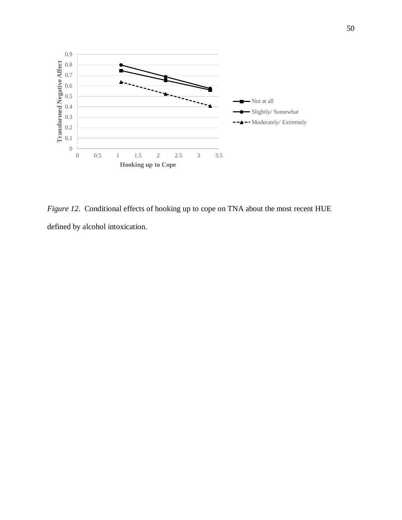

*Figure 12*. Conditional effects of hooking up to cope on TNA about the most recent HUE defined by alcohol intoxication.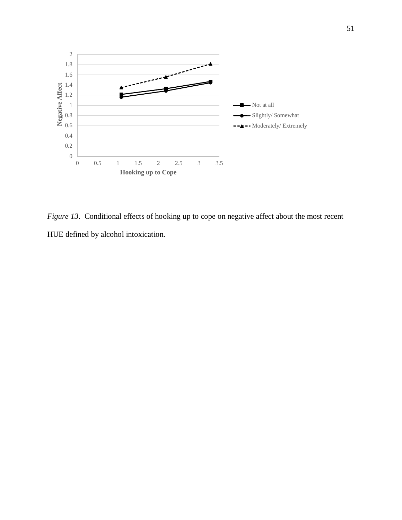

*Figure 13.* Conditional effects of hooking up to cope on negative affect about the most recent HUE defined by alcohol intoxication.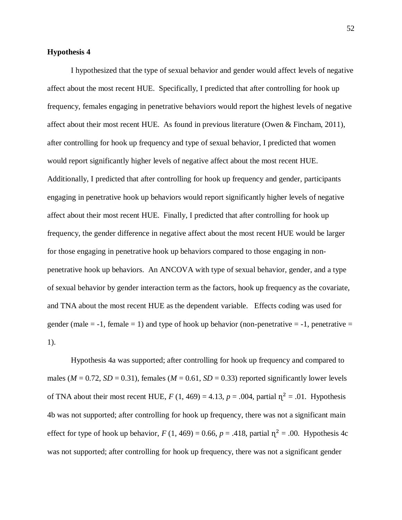## **Hypothesis 4**

I hypothesized that the type of sexual behavior and gender would affect levels of negative affect about the most recent HUE. Specifically, I predicted that after controlling for hook up frequency, females engaging in penetrative behaviors would report the highest levels of negative affect about their most recent HUE. As found in previous literature (Owen & Fincham, 2011), after controlling for hook up frequency and type of sexual behavior, I predicted that women would report significantly higher levels of negative affect about the most recent HUE. Additionally, I predicted that after controlling for hook up frequency and gender, participants engaging in penetrative hook up behaviors would report significantly higher levels of negative affect about their most recent HUE. Finally, I predicted that after controlling for hook up frequency, the gender difference in negative affect about the most recent HUE would be larger for those engaging in penetrative hook up behaviors compared to those engaging in nonpenetrative hook up behaviors. An ANCOVA with type of sexual behavior, gender, and a type of sexual behavior by gender interaction term as the factors, hook up frequency as the covariate, and TNA about the most recent HUE as the dependent variable. Effects coding was used for gender (male  $= -1$ , female  $= 1$ ) and type of hook up behavior (non-penetrative  $= -1$ , penetrative  $=$ 1).

Hypothesis 4a was supported; after controlling for hook up frequency and compared to males ( $M = 0.72$ ,  $SD = 0.31$ ), females ( $M = 0.61$ ,  $SD = 0.33$ ) reported significantly lower levels of TNA about their most recent HUE,  $F(1, 469) = 4.13$ ,  $p = .004$ , partial  $\eta^2 = .01$ . Hypothesis 4b was not supported; after controlling for hook up frequency, there was not a significant main effect for type of hook up behavior,  $F(1, 469) = 0.66$ ,  $p = .418$ , partial  $\eta^2 = .00$ . Hypothesis 4c was not supported; after controlling for hook up frequency, there was not a significant gender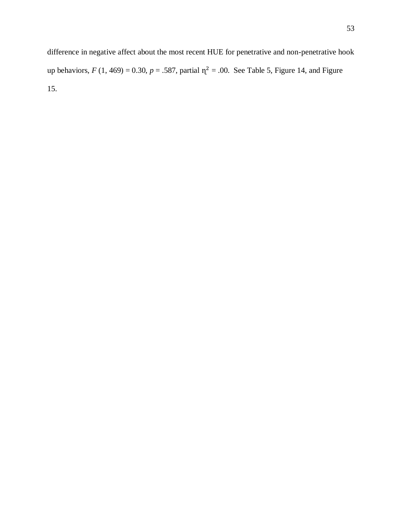difference in negative affect about the most recent HUE for penetrative and non-penetrative hook up behaviors,  $F(1, 469) = 0.30$ ,  $p = .587$ , partial  $\eta^2 = .00$ . See Table 5, Figure 14, and Figure 15.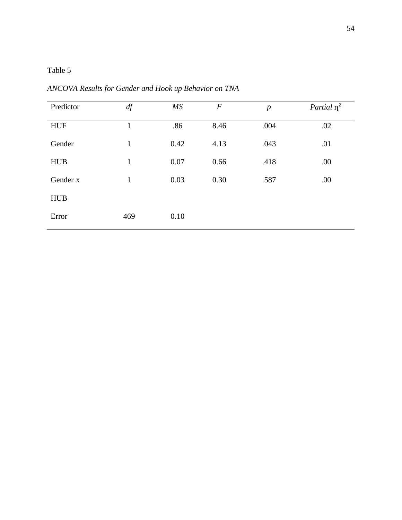| Predictor  | df           | MS   | $\boldsymbol{F}$ | $\boldsymbol{p}$ | Partial $\eta^2$ |
|------------|--------------|------|------------------|------------------|------------------|
| <b>HUF</b> | 1            | .86  | 8.46             | .004             | .02              |
| Gender     | $\mathbf{1}$ | 0.42 | 4.13             | .043             | .01              |
| <b>HUB</b> | $\mathbf{1}$ | 0.07 | 0.66             | .418             | .00              |
| Gender x   | $\mathbf{1}$ | 0.03 | 0.30             | .587             | .00              |
| <b>HUB</b> |              |      |                  |                  |                  |
| Error      | 469          | 0.10 |                  |                  |                  |

*ANCOVA Results for Gender and Hook up Behavior on TNA*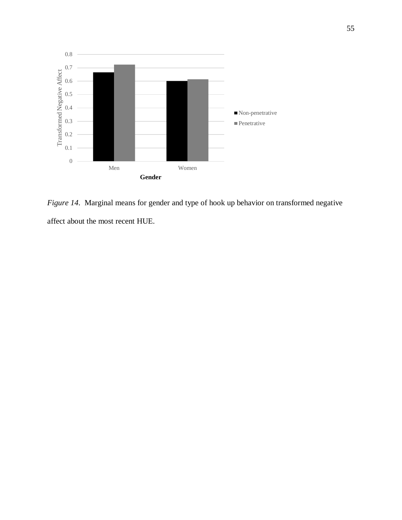

*Figure 14*. Marginal means for gender and type of hook up behavior on transformed negative affect about the most recent HUE.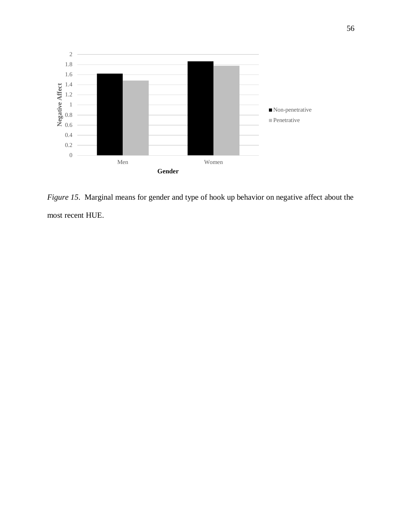

*Figure 15*. Marginal means for gender and type of hook up behavior on negative affect about the most recent HUE.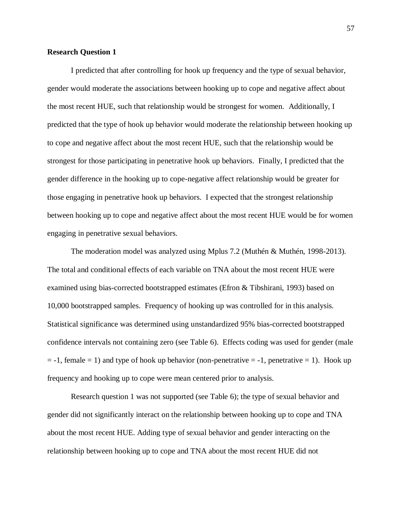## **Research Question 1**

I predicted that after controlling for hook up frequency and the type of sexual behavior, gender would moderate the associations between hooking up to cope and negative affect about the most recent HUE, such that relationship would be strongest for women. Additionally, I predicted that the type of hook up behavior would moderate the relationship between hooking up to cope and negative affect about the most recent HUE, such that the relationship would be strongest for those participating in penetrative hook up behaviors. Finally, I predicted that the gender difference in the hooking up to cope-negative affect relationship would be greater for those engaging in penetrative hook up behaviors. I expected that the strongest relationship between hooking up to cope and negative affect about the most recent HUE would be for women engaging in penetrative sexual behaviors.

The moderation model was analyzed using Mplus 7.2 (Muthén & Muthén, 1998-2013). The total and conditional effects of each variable on TNA about the most recent HUE were examined using bias-corrected bootstrapped estimates (Efron & Tibshirani, 1993) based on 10,000 bootstrapped samples. Frequency of hooking up was controlled for in this analysis. Statistical significance was determined using unstandardized 95% bias-corrected bootstrapped confidence intervals not containing zero (see Table 6). Effects coding was used for gender (male  $= -1$ , female  $= 1$ ) and type of hook up behavior (non-penetrative  $= -1$ , penetrative  $= 1$ ). Hook up frequency and hooking up to cope were mean centered prior to analysis.

Research question 1 was not supported (see Table 6); the type of sexual behavior and gender did not significantly interact on the relationship between hooking up to cope and TNA about the most recent HUE. Adding type of sexual behavior and gender interacting on the relationship between hooking up to cope and TNA about the most recent HUE did not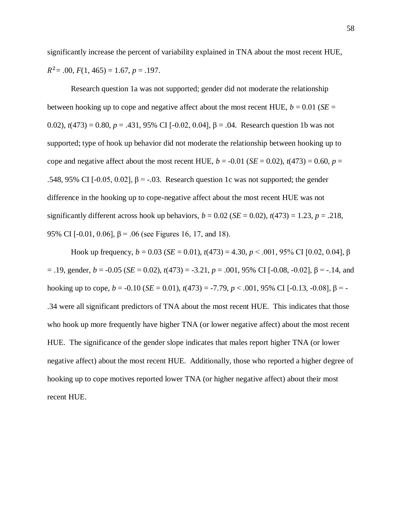significantly increase the percent of variability explained in TNA about the most recent HUE,  $R^2$ = .00,  $F(1, 465)$  = 1.67,  $p$  = .197.

Research question 1a was not supported; gender did not moderate the relationship between hooking up to cope and negative affect about the most recent HUE,  $b = 0.01$  (*SE* = 0.02),  $t(473) = 0.80$ ,  $p = .431$ , 95% CI [-0.02, 0.04], β = .04. Research question 1b was not supported; type of hook up behavior did not moderate the relationship between hooking up to cope and negative affect about the most recent HUE,  $b = -0.01$  (*SE* = 0.02),  $t(473) = 0.60$ ,  $p =$ .548, 95% CI [-0.05, 0.02],  $\beta$  = -.03. Research question 1c was not supported; the gender difference in the hooking up to cope-negative affect about the most recent HUE was not significantly different across hook up behaviors,  $b = 0.02$  (*SE* = 0.02),  $t(473) = 1.23$ ,  $p = .218$ , 95% CI [-0.01, 0.06],  $\beta$  = .06 (see Figures 16, 17, and 18).

Hook up frequency, *b* = 0.03 (*SE* = 0.01), *t*(473) = 4.30, *p* < .001, 95% CI [0.02, 0.04], β = .19, gender, *b* = -0.05 (*SE* = 0.02), *t*(473) = -3.21, *p* = .001, 95% CI [-0.08, -0.02], β = -.14, and hooking up to cope,  $b = -0.10$  (*SE* = 0.01),  $t(473) = -7.79$ ,  $p < .001$ , 95% CI [-0.13, -0.08], β = -.34 were all significant predictors of TNA about the most recent HUE. This indicates that those who hook up more frequently have higher TNA (or lower negative affect) about the most recent HUE. The significance of the gender slope indicates that males report higher TNA (or lower negative affect) about the most recent HUE. Additionally, those who reported a higher degree of hooking up to cope motives reported lower TNA (or higher negative affect) about their most recent HUE.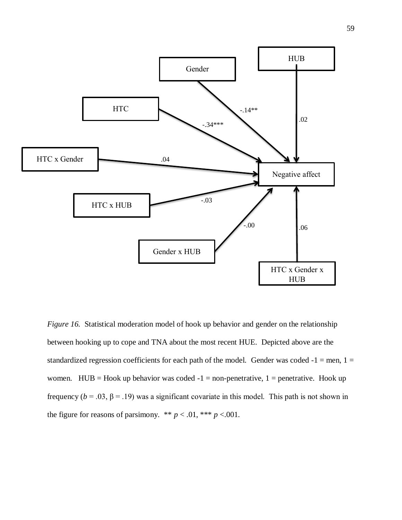

*Figure 16.* Statistical moderation model of hook up behavior and gender on the relationship between hooking up to cope and TNA about the most recent HUE. Depicted above are the standardized regression coefficients for each path of the model. Gender was coded  $-1 =$ men,  $1 =$ women. HUB = Hook up behavior was coded  $-1$  = non-penetrative, 1 = penetrative. Hook up frequency ( $b = .03$ ,  $\beta = .19$ ) was a significant covariate in this model. This path is not shown in the figure for reasons of parsimony. \*\*  $p < .01$ , \*\*\*  $p < .001$ .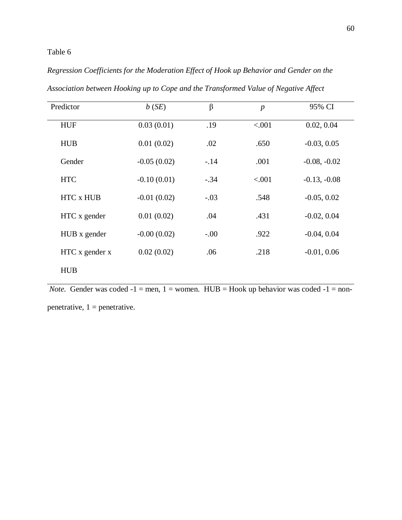## Table 6

# *Regression Coefficients for the Moderation Effect of Hook up Behavior and Gender on the*

| Predictor        | b(SE)         | $\beta$ | $\boldsymbol{p}$ | 95% CI         |
|------------------|---------------|---------|------------------|----------------|
| <b>HUF</b>       | 0.03(0.01)    | .19     | < .001           | 0.02, 0.04     |
| <b>HUB</b>       | 0.01(0.02)    | .02     | .650             | $-0.03, 0.05$  |
| Gender           | $-0.05(0.02)$ | $-.14$  | .001             | $-0.08, -0.02$ |
| <b>HTC</b>       | $-0.10(0.01)$ | $-.34$  | < .001           | $-0.13, -0.08$ |
| <b>HTC x HUB</b> | $-0.01(0.02)$ | $-.03$  | .548             | $-0.05, 0.02$  |
| HTC x gender     | 0.01(0.02)    | .04     | .431             | $-0.02, 0.04$  |
| HUB x gender     | $-0.00(0.02)$ | $-.00$  | .922             | $-0.04, 0.04$  |
| HTC x gender x   | 0.02(0.02)    | .06     | .218             | $-0.01, 0.06$  |
| <b>HUB</b>       |               |         |                  |                |

*Association between Hooking up to Cope and the Transformed Value of Negative Affect*

*Note.* Gender was coded  $-1$  = men, 1 = women. HUB = Hook up behavior was coded  $-1$  = non-

penetrative,  $1$  = penetrative.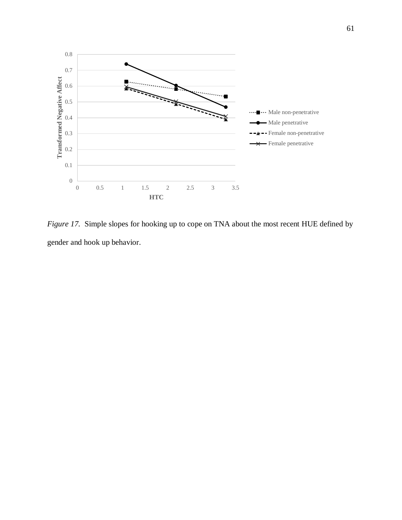

*Figure 17.* Simple slopes for hooking up to cope on TNA about the most recent HUE defined by gender and hook up behavior.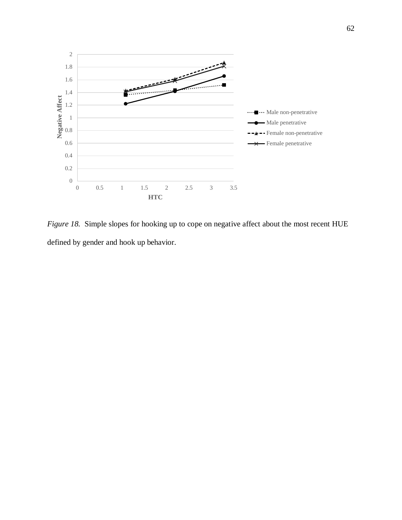

*Figure 18.* Simple slopes for hooking up to cope on negative affect about the most recent HUE defined by gender and hook up behavior.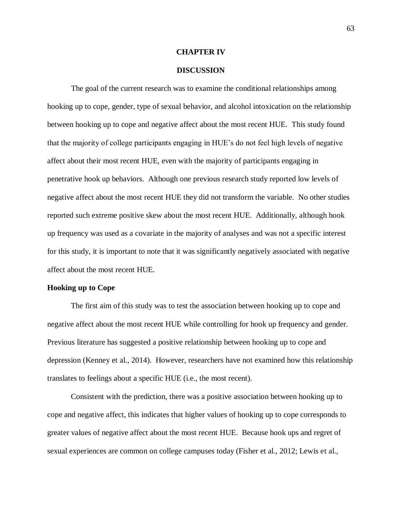#### **CHAPTER IV**

#### **DISCUSSION**

 The goal of the current research was to examine the conditional relationships among hooking up to cope, gender, type of sexual behavior, and alcohol intoxication on the relationship between hooking up to cope and negative affect about the most recent HUE. This study found that the majority of college participants engaging in HUE's do not feel high levels of negative affect about their most recent HUE, even with the majority of participants engaging in penetrative hook up behaviors. Although one previous research study reported low levels of negative affect about the most recent HUE they did not transform the variable. No other studies reported such extreme positive skew about the most recent HUE. Additionally, although hook up frequency was used as a covariate in the majority of analyses and was not a specific interest for this study, it is important to note that it was significantly negatively associated with negative affect about the most recent HUE.

#### **Hooking up to Cope**

The first aim of this study was to test the association between hooking up to cope and negative affect about the most recent HUE while controlling for hook up frequency and gender. Previous literature has suggested a positive relationship between hooking up to cope and depression (Kenney et al., 2014). However, researchers have not examined how this relationship translates to feelings about a specific HUE (i.e., the most recent).

Consistent with the prediction, there was a positive association between hooking up to cope and negative affect, this indicates that higher values of hooking up to cope corresponds to greater values of negative affect about the most recent HUE. Because hook ups and regret of sexual experiences are common on college campuses today (Fisher et al., 2012; Lewis et al.,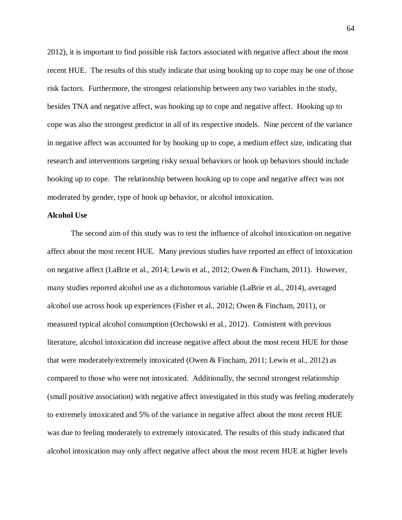2012), it is important to find possible risk factors associated with negative affect about the most recent HUE. The results of this study indicate that using hooking up to cope may be one of those risk factors. Furthermore, the strongest relationship between any two variables in the study, besides TNA and negative affect, was hooking up to cope and negative affect. Hooking up to cope was also the strongest predictor in all of its respective models. Nine percent of the variance in negative affect was accounted for by hooking up to cope, a medium effect size, indicating that research and interventions targeting risky sexual behaviors or hook up behaviors should include hooking up to cope. The relationship between hooking up to cope and negative affect was not moderated by gender, type of hook up behavior, or alcohol intoxication.

#### **Alcohol Use**

The second aim of this study was to test the influence of alcohol intoxication on negative affect about the most recent HUE. Many previous studies have reported an effect of intoxication on negative affect (LaBrie et al., 2014; Lewis et al., 2012; Owen & Fincham, 2011). However, many studies reported alcohol use as a dichotomous variable (LaBrie et al., 2014), averaged alcohol use across hook up experiences (Fisher et al., 2012; Owen & Fincham, 2011), or measured typical alcohol consumption (Orchowski et al., 2012). Consistent with previous literature, alcohol intoxication did increase negative affect about the most recent HUE for those that were moderately/extremely intoxicated (Owen & Fincham, 2011; Lewis et al., 2012) as compared to those who were not intoxicated. Additionally, the second strongest relationship (small positive association) with negative affect investigated in this study was feeling moderately to extremely intoxicated and 5% of the variance in negative affect about the most recent HUE was due to feeling moderately to extremely intoxicated. The results of this study indicated that alcohol intoxication may only affect negative affect about the most recent HUE at higher levels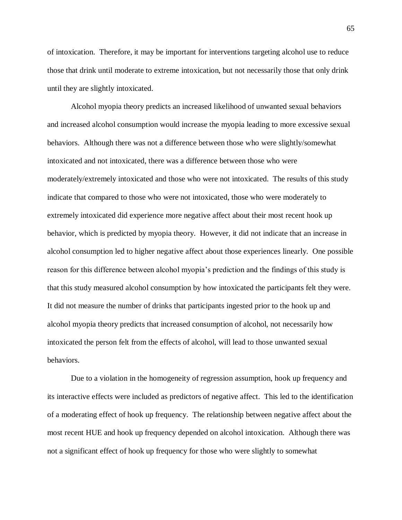of intoxication. Therefore, it may be important for interventions targeting alcohol use to reduce those that drink until moderate to extreme intoxication, but not necessarily those that only drink until they are slightly intoxicated.

Alcohol myopia theory predicts an increased likelihood of unwanted sexual behaviors and increased alcohol consumption would increase the myopia leading to more excessive sexual behaviors. Although there was not a difference between those who were slightly/somewhat intoxicated and not intoxicated, there was a difference between those who were moderately/extremely intoxicated and those who were not intoxicated. The results of this study indicate that compared to those who were not intoxicated, those who were moderately to extremely intoxicated did experience more negative affect about their most recent hook up behavior, which is predicted by myopia theory. However, it did not indicate that an increase in alcohol consumption led to higher negative affect about those experiences linearly. One possible reason for this difference between alcohol myopia's prediction and the findings of this study is that this study measured alcohol consumption by how intoxicated the participants felt they were. It did not measure the number of drinks that participants ingested prior to the hook up and alcohol myopia theory predicts that increased consumption of alcohol, not necessarily how intoxicated the person felt from the effects of alcohol, will lead to those unwanted sexual behaviors.

Due to a violation in the homogeneity of regression assumption, hook up frequency and its interactive effects were included as predictors of negative affect. This led to the identification of a moderating effect of hook up frequency. The relationship between negative affect about the most recent HUE and hook up frequency depended on alcohol intoxication. Although there was not a significant effect of hook up frequency for those who were slightly to somewhat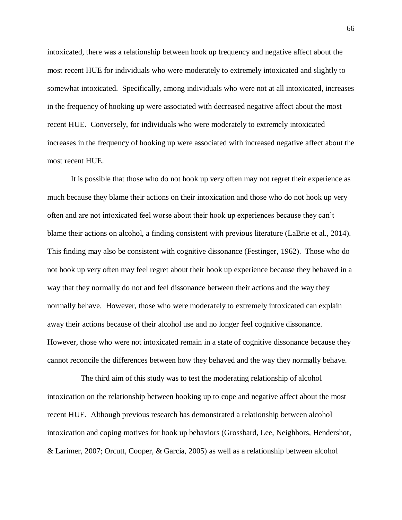intoxicated, there was a relationship between hook up frequency and negative affect about the most recent HUE for individuals who were moderately to extremely intoxicated and slightly to somewhat intoxicated. Specifically, among individuals who were not at all intoxicated, increases in the frequency of hooking up were associated with decreased negative affect about the most recent HUE. Conversely, for individuals who were moderately to extremely intoxicated increases in the frequency of hooking up were associated with increased negative affect about the most recent HUE.

It is possible that those who do not hook up very often may not regret their experience as much because they blame their actions on their intoxication and those who do not hook up very often and are not intoxicated feel worse about their hook up experiences because they can't blame their actions on alcohol, a finding consistent with previous literature (LaBrie et al., 2014). This finding may also be consistent with cognitive dissonance (Festinger, 1962). Those who do not hook up very often may feel regret about their hook up experience because they behaved in a way that they normally do not and feel dissonance between their actions and the way they normally behave. However, those who were moderately to extremely intoxicated can explain away their actions because of their alcohol use and no longer feel cognitive dissonance. However, those who were not intoxicated remain in a state of cognitive dissonance because they cannot reconcile the differences between how they behaved and the way they normally behave.

 The third aim of this study was to test the moderating relationship of alcohol intoxication on the relationship between hooking up to cope and negative affect about the most recent HUE. Although previous research has demonstrated a relationship between alcohol intoxication and coping motives for hook up behaviors (Grossbard, Lee, Neighbors, Hendershot, & Larimer, 2007; Orcutt, Cooper, & Garcia, 2005) as well as a relationship between alcohol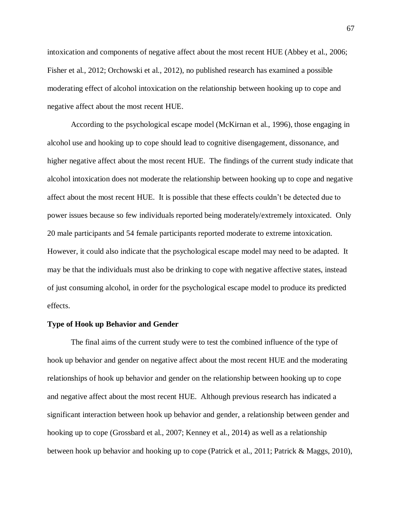intoxication and components of negative affect about the most recent HUE (Abbey et al., 2006; Fisher et al., 2012; Orchowski et al., 2012), no published research has examined a possible moderating effect of alcohol intoxication on the relationship between hooking up to cope and negative affect about the most recent HUE.

According to the psychological escape model (McKirnan et al., 1996), those engaging in alcohol use and hooking up to cope should lead to cognitive disengagement, dissonance, and higher negative affect about the most recent HUE. The findings of the current study indicate that alcohol intoxication does not moderate the relationship between hooking up to cope and negative affect about the most recent HUE. It is possible that these effects couldn't be detected due to power issues because so few individuals reported being moderately/extremely intoxicated. Only 20 male participants and 54 female participants reported moderate to extreme intoxication. However, it could also indicate that the psychological escape model may need to be adapted. It may be that the individuals must also be drinking to cope with negative affective states, instead of just consuming alcohol, in order for the psychological escape model to produce its predicted effects.

#### **Type of Hook up Behavior and Gender**

The final aims of the current study were to test the combined influence of the type of hook up behavior and gender on negative affect about the most recent HUE and the moderating relationships of hook up behavior and gender on the relationship between hooking up to cope and negative affect about the most recent HUE. Although previous research has indicated a significant interaction between hook up behavior and gender, a relationship between gender and hooking up to cope (Grossbard et al., 2007; Kenney et al., 2014) as well as a relationship between hook up behavior and hooking up to cope (Patrick et al., 2011; Patrick & Maggs, 2010),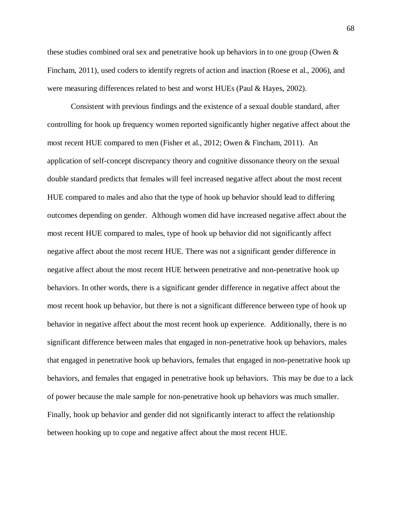these studies combined oral sex and penetrative hook up behaviors in to one group (Owen & Fincham, 2011), used coders to identify regrets of action and inaction (Roese et al., 2006), and were measuring differences related to best and worst HUEs (Paul & Hayes, 2002).

Consistent with previous findings and the existence of a sexual double standard, after controlling for hook up frequency women reported significantly higher negative affect about the most recent HUE compared to men (Fisher et al., 2012; Owen & Fincham, 2011). An application of self-concept discrepancy theory and cognitive dissonance theory on the sexual double standard predicts that females will feel increased negative affect about the most recent HUE compared to males and also that the type of hook up behavior should lead to differing outcomes depending on gender. Although women did have increased negative affect about the most recent HUE compared to males, type of hook up behavior did not significantly affect negative affect about the most recent HUE. There was not a significant gender difference in negative affect about the most recent HUE between penetrative and non-penetrative hook up behaviors. In other words, there is a significant gender difference in negative affect about the most recent hook up behavior, but there is not a significant difference between type of hook up behavior in negative affect about the most recent hook up experience. Additionally, there is no significant difference between males that engaged in non-penetrative hook up behaviors, males that engaged in penetrative hook up behaviors, females that engaged in non-penetrative hook up behaviors, and females that engaged in penetrative hook up behaviors. This may be due to a lack of power because the male sample for non-penetrative hook up behaviors was much smaller. Finally, hook up behavior and gender did not significantly interact to affect the relationship between hooking up to cope and negative affect about the most recent HUE.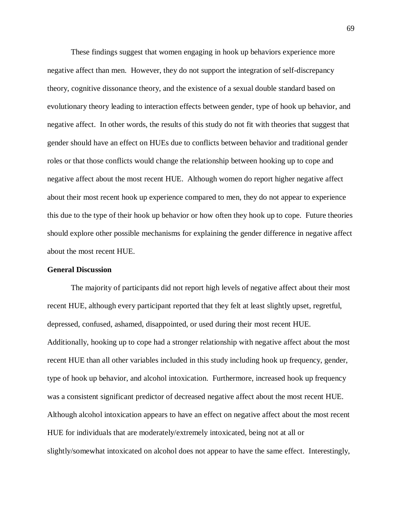These findings suggest that women engaging in hook up behaviors experience more negative affect than men. However, they do not support the integration of self-discrepancy theory, cognitive dissonance theory, and the existence of a sexual double standard based on evolutionary theory leading to interaction effects between gender, type of hook up behavior, and negative affect. In other words, the results of this study do not fit with theories that suggest that gender should have an effect on HUEs due to conflicts between behavior and traditional gender roles or that those conflicts would change the relationship between hooking up to cope and negative affect about the most recent HUE. Although women do report higher negative affect about their most recent hook up experience compared to men, they do not appear to experience this due to the type of their hook up behavior or how often they hook up to cope. Future theories should explore other possible mechanisms for explaining the gender difference in negative affect about the most recent HUE.

#### **General Discussion**

The majority of participants did not report high levels of negative affect about their most recent HUE, although every participant reported that they felt at least slightly upset, regretful, depressed, confused, ashamed, disappointed, or used during their most recent HUE. Additionally, hooking up to cope had a stronger relationship with negative affect about the most recent HUE than all other variables included in this study including hook up frequency, gender, type of hook up behavior, and alcohol intoxication. Furthermore, increased hook up frequency was a consistent significant predictor of decreased negative affect about the most recent HUE. Although alcohol intoxication appears to have an effect on negative affect about the most recent HUE for individuals that are moderately/extremely intoxicated, being not at all or slightly/somewhat intoxicated on alcohol does not appear to have the same effect. Interestingly,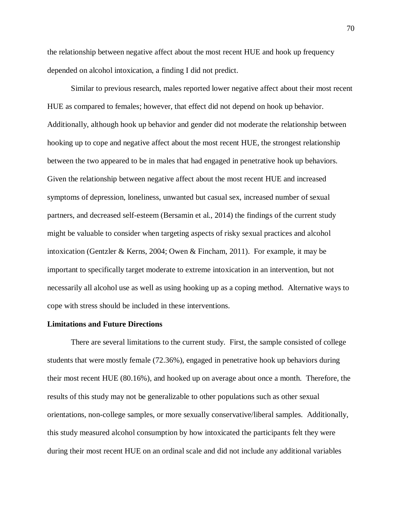the relationship between negative affect about the most recent HUE and hook up frequency depended on alcohol intoxication, a finding I did not predict.

Similar to previous research, males reported lower negative affect about their most recent HUE as compared to females; however, that effect did not depend on hook up behavior. Additionally, although hook up behavior and gender did not moderate the relationship between hooking up to cope and negative affect about the most recent HUE, the strongest relationship between the two appeared to be in males that had engaged in penetrative hook up behaviors. Given the relationship between negative affect about the most recent HUE and increased symptoms of depression, loneliness, unwanted but casual sex, increased number of sexual partners, and decreased self-esteem (Bersamin et al., 2014) the findings of the current study might be valuable to consider when targeting aspects of risky sexual practices and alcohol intoxication (Gentzler & Kerns, 2004; Owen & Fincham, 2011). For example, it may be important to specifically target moderate to extreme intoxication in an intervention, but not necessarily all alcohol use as well as using hooking up as a coping method. Alternative ways to cope with stress should be included in these interventions.

#### **Limitations and Future Directions**

There are several limitations to the current study. First, the sample consisted of college students that were mostly female (72.36%), engaged in penetrative hook up behaviors during their most recent HUE (80.16%), and hooked up on average about once a month. Therefore, the results of this study may not be generalizable to other populations such as other sexual orientations, non-college samples, or more sexually conservative/liberal samples. Additionally, this study measured alcohol consumption by how intoxicated the participants felt they were during their most recent HUE on an ordinal scale and did not include any additional variables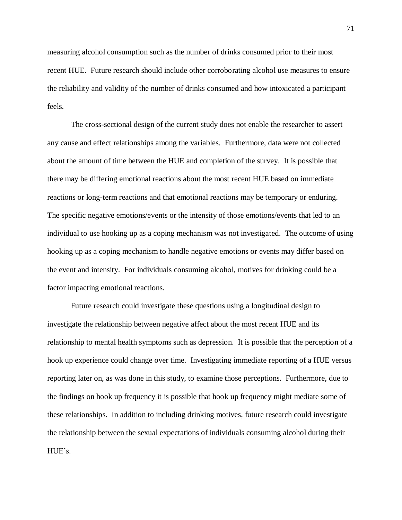measuring alcohol consumption such as the number of drinks consumed prior to their most recent HUE. Future research should include other corroborating alcohol use measures to ensure the reliability and validity of the number of drinks consumed and how intoxicated a participant feels.

The cross-sectional design of the current study does not enable the researcher to assert any cause and effect relationships among the variables. Furthermore, data were not collected about the amount of time between the HUE and completion of the survey. It is possible that there may be differing emotional reactions about the most recent HUE based on immediate reactions or long-term reactions and that emotional reactions may be temporary or enduring. The specific negative emotions/events or the intensity of those emotions/events that led to an individual to use hooking up as a coping mechanism was not investigated. The outcome of using hooking up as a coping mechanism to handle negative emotions or events may differ based on the event and intensity. For individuals consuming alcohol, motives for drinking could be a factor impacting emotional reactions.

Future research could investigate these questions using a longitudinal design to investigate the relationship between negative affect about the most recent HUE and its relationship to mental health symptoms such as depression. It is possible that the perception of a hook up experience could change over time. Investigating immediate reporting of a HUE versus reporting later on, as was done in this study, to examine those perceptions. Furthermore, due to the findings on hook up frequency it is possible that hook up frequency might mediate some of these relationships. In addition to including drinking motives, future research could investigate the relationship between the sexual expectations of individuals consuming alcohol during their HUE's.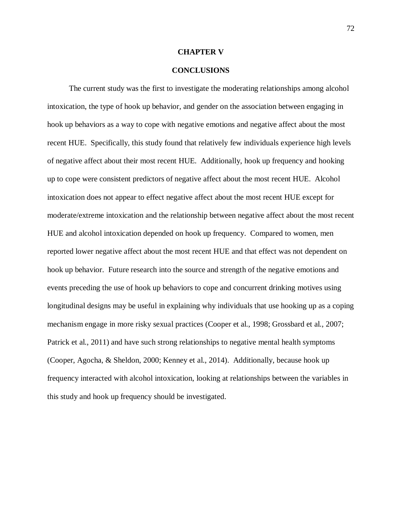#### **CHAPTER V**

### **CONCLUSIONS**

 The current study was the first to investigate the moderating relationships among alcohol intoxication, the type of hook up behavior, and gender on the association between engaging in hook up behaviors as a way to cope with negative emotions and negative affect about the most recent HUE. Specifically, this study found that relatively few individuals experience high levels of negative affect about their most recent HUE. Additionally, hook up frequency and hooking up to cope were consistent predictors of negative affect about the most recent HUE. Alcohol intoxication does not appear to effect negative affect about the most recent HUE except for moderate/extreme intoxication and the relationship between negative affect about the most recent HUE and alcohol intoxication depended on hook up frequency. Compared to women, men reported lower negative affect about the most recent HUE and that effect was not dependent on hook up behavior. Future research into the source and strength of the negative emotions and events preceding the use of hook up behaviors to cope and concurrent drinking motives using longitudinal designs may be useful in explaining why individuals that use hooking up as a coping mechanism engage in more risky sexual practices (Cooper et al., 1998; Grossbard et al., 2007; Patrick et al., 2011) and have such strong relationships to negative mental health symptoms (Cooper, Agocha, & Sheldon, 2000; Kenney et al., 2014). Additionally, because hook up frequency interacted with alcohol intoxication, looking at relationships between the variables in this study and hook up frequency should be investigated.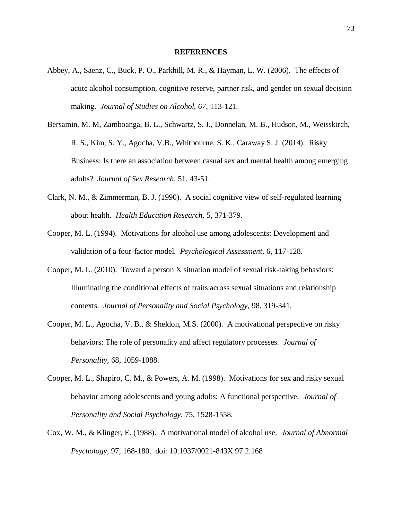#### **REFERENCES**

- Abbey, A., Saenz, C., Buck, P. O., Parkhill, M. R., & Hayman, L. W. (2006). The effects of acute alcohol consumption, cognitive reserve, partner risk, and gender on sexual decision making. *Journal of Studies on Alcohol, 67*, 113-121.
- Bersamin, M. M, Zamboanga, B. L., Schwartz, S. J., Donnelan, M. B., Hudson, M., Weisskirch, R. S., Kim, S. Y., Agocha, V.B., Whitbourne, S. K., Caraway S. J. (2014). Risky Business: Is there an association between casual sex and mental health among emerging adults? *Journal of Sex Research,* 51, 43-51.
- Clark, N. M., & Zimmerman, B. J. (1990). A social cognitive view of self-regulated learning about health. *Health Education Research,* 5, 371-379.
- Cooper, M. L. (1994). Motivations for alcohol use among adolescents: Development and validation of a four-factor model. *Psychological Assessment,* 6, 117-128.
- Cooper, M. L. (2010). Toward a person X situation model of sexual risk-taking behaviors: Illuminating the conditional effects of traits across sexual situations and relationship contexts. *Journal of Personality and Social Psychology,* 98, 319-341.
- Cooper, M. L., Agocha, V. B., & Sheldon, M.S. (2000). A motivational perspective on risky behaviors: The role of personality and affect regulatory processes. *Journal of Personality,* 68, 1059-1088.
- Cooper, M. L., Shapiro, C. M., & Powers, A. M. (1998). Motivations for sex and risky sexual behavior among adolescents and young adults: A functional perspective. *Journal of Personality and Social Psychology,* 75, 1528-1558.
- Cox, W. M., & Klinger, E. (1988). A motivational model of alcohol use. *Journal of Abnormal Psychology,* 97, 168-180. doi: 10.1037/0021-843X.97.2.168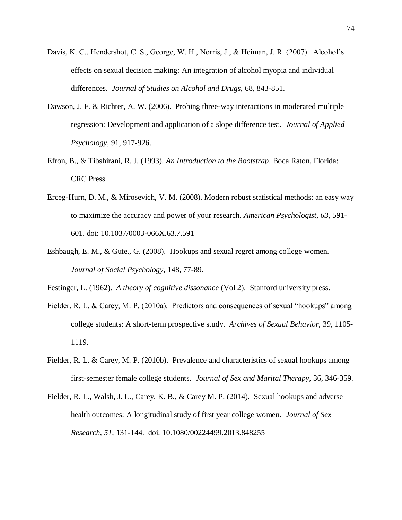- Davis, K. C., Hendershot, C. S., George, W. H., Norris, J., & Heiman, J. R. (2007). Alcohol's effects on sexual decision making: An integration of alcohol myopia and individual differences. *Journal of Studies on Alcohol and Drugs,* 68, 843-851.
- Dawson, J. F. & Richter, A. W. (2006). Probing three-way interactions in moderated multiple regression: Development and application of a slope difference test. *Journal of Applied Psychology,* 91, 917-926.
- Efron, B., & Tibshirani, R. J. (1993). *An Introduction to the Bootstrap*. Boca Raton, Florida: CRC Press.
- Erceg-Hurn, D. M., & Mirosevich, V. M. (2008). Modern robust statistical methods: an easy way to maximize the accuracy and power of your research. *American Psychologist*, *63*, 591- 601. doi: 10.1037/0003-066X.63.7.591
- Eshbaugh, E. M., & Gute., G. (2008). Hookups and sexual regret among college women. *Journal of Social Psychology,* 148, 77-89.
- Festinger, L. (1962). *A theory of cognitive dissonance* (Vol 2). Stanford university press.
- Fielder, R. L. & Carey, M. P. (2010a). Predictors and consequences of sexual "hookups" among college students: A short-term prospective study. *Archives of Sexual Behavior,* 39, 1105- 1119.
- Fielder, R. L. & Carey, M. P. (2010b). Prevalence and characteristics of sexual hookups among first-semester female college students. *Journal of Sex and Marital Therapy,* 36, 346-359.
- Fielder, R. L., Walsh, J. L., Carey, K. B., & Carey M. P. (2014). Sexual hookups and adverse health outcomes: A longitudinal study of first year college women. *Journal of Sex Research, 51*, 131-144. doi: 10.1080/00224499.2013.848255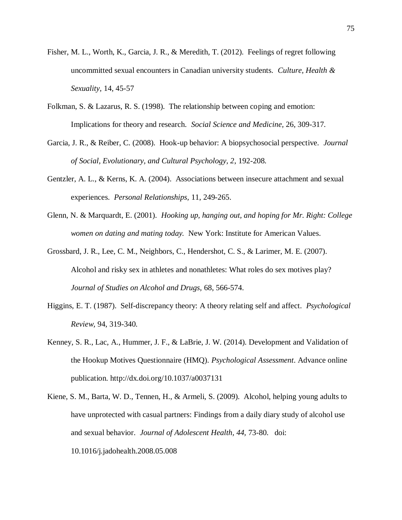- Fisher, M. L., Worth, K., Garcia, J. R., & Meredith, T. (2012). Feelings of regret following uncommitted sexual encounters in Canadian university students. *Culture, Health & Sexuality,* 14, 45-57
- Folkman, S. & Lazarus, R. S. (1998). The relationship between coping and emotion: Implications for theory and research. *Social Science and Medicine,* 26, 309-317.
- Garcia, J. R., & Reiber, C. (2008). Hook-up behavior: A biopsychosocial perspective. *Journal of Social, Evolutionary, and Cultural Psychology, 2*, 192-208.
- Gentzler, A. L., & Kerns, K. A. (2004). Associations between insecure attachment and sexual experiences. *Personal Relationships,* 11, 249-265.
- Glenn, N. & Marquardt, E. (2001). *Hooking up, hanging out, and hoping for Mr. Right: College women on dating and mating today.* New York: Institute for American Values.
- Grossbard, J. R., Lee, C. M., Neighbors, C., Hendershot, C. S., & Larimer, M. E. (2007). Alcohol and risky sex in athletes and nonathletes: What roles do sex motives play? *Journal of Studies on Alcohol and Drugs,* 68, 566-574.
- Higgins, E. T. (1987). Self-discrepancy theory: A theory relating self and affect. *Psychological Review,* 94, 319-340.
- Kenney, S. R., Lac, A., Hummer, J. F., & LaBrie, J. W. (2014). Development and Validation of the Hookup Motives Questionnaire (HMQ). *Psychological Assessment*. Advance online publication. http://dx.doi.org/10.1037/a0037131
- Kiene, S. M., Barta, W. D., Tennen, H., & Armeli, S. (2009). Alcohol, helping young adults to have unprotected with casual partners: Findings from a daily diary study of alcohol use and sexual behavior. *Journal of Adolescent Health, 44,* 73-80. doi: 10.1016/j.jadohealth.2008.05.008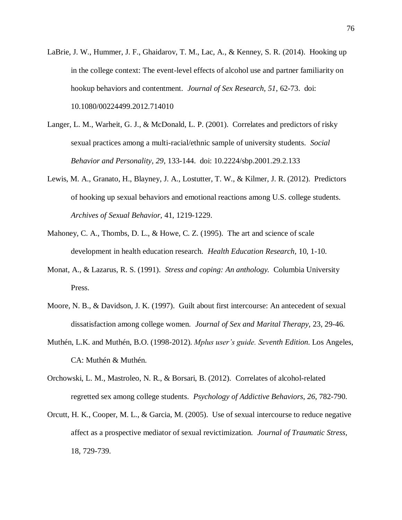- LaBrie, J. W., Hummer, J. F., Ghaidarov, T. M., Lac, A., & Kenney, S. R. (2014). Hooking up in the college context: The event-level effects of alcohol use and partner familiarity on hookup behaviors and contentment. *Journal of Sex Research, 51*, 62-73. doi: 10.1080/00224499.2012.714010
- Langer, L. M., Warheit, G. J., & McDonald, L. P. (2001). Correlates and predictors of risky sexual practices among a multi-racial/ethnic sample of university students. *Social Behavior and Personality, 29*, 133-144. doi: 10.2224/sbp.2001.29.2.133
- Lewis, M. A., Granato, H., Blayney, J. A., Lostutter, T. W., & Kilmer, J. R. (2012). Predictors of hooking up sexual behaviors and emotional reactions among U.S. college students. *Archives of Sexual Behavior,* 41, 1219-1229.
- Mahoney, C. A., Thombs, D. L., & Howe, C. Z. (1995). The art and science of scale development in health education research. *Health Education Research,* 10, 1-10.
- Monat, A., & Lazarus, R. S. (1991). *Stress and coping: An anthology.* Columbia University Press.
- Moore, N. B., & Davidson, J. K. (1997). Guilt about first intercourse: An antecedent of sexual dissatisfaction among college women. *Journal of Sex and Marital Therapy,* 23, 29-46.
- Muthén, L.K. and Muthén, B.O. (1998-2012). *Mplus user's guide. Seventh Edition*. Los Angeles, CA: Muthén & Muthén.
- Orchowski, L. M., Mastroleo, N. R., & Borsari, B. (2012). Correlates of alcohol-related regretted sex among college students. *Psychology of Addictive Behaviors*, *26*, 782-790.
- Orcutt, H. K., Cooper, M. L., & Garcia, M. (2005). Use of sexual intercourse to reduce negative affect as a prospective mediator of sexual revictimization. *Journal of Traumatic Stress,*  18, 729-739.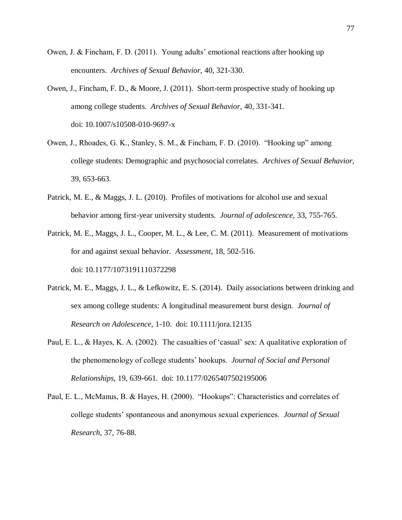- Owen, J. & Fincham, F. D. (2011). Young adults' emotional reactions after hooking up encounters. *Archives of Sexual Behavior,* 40, 321-330.
- Owen, J., Fincham, F. D., & Moore, J. (2011). Short-term prospective study of hooking up among college students. *Archives of Sexual Behavior,* 40, 331-341. doi: 10.1007/s10508-010-9697-x
- Owen, J., Rhoades, G. K., Stanley, S. M., & Fincham, F. D. (2010). "Hooking up" among college students: Demographic and psychosocial correlates. *Archives of Sexual Behavior,*  39, 653-663.
- Patrick, M. E., & Maggs, J. L. (2010). Profiles of motivations for alcohol use and sexual behavior among first-year university students. *Journal of adolescence,* 33, 755-765.
- Patrick, M. E., Maggs, J. L., Cooper, M. L., & Lee, C. M. (2011). Measurement of motivations for and against sexual behavior. *Assessment,* 18, 502-516. doi: 10.1177/1073191110372298
- Patrick, M. E., Maggs, J. L., & Lefkowitz, E. S. (2014). Daily associations between drinking and sex among college students: A longitudinal measurement burst design. *Journal of Research on Adolescence,* 1-10. doi: 10.1111/jora.12135
- Paul, E. L., & Hayes, K. A. (2002). The casualties of 'casual' sex: A qualitative exploration of the phenomenology of college students' hookups. *Journal of Social and Personal Relationships,* 19, 639-661. doi: 10.1177/0265407502195006
- Paul, E. L., McManus, B. & Hayes, H. (2000). "Hookups": Characteristics and correlates of college students' spontaneous and anonymous sexual experiences. *Journal of Sexual Research,* 37, 76-88.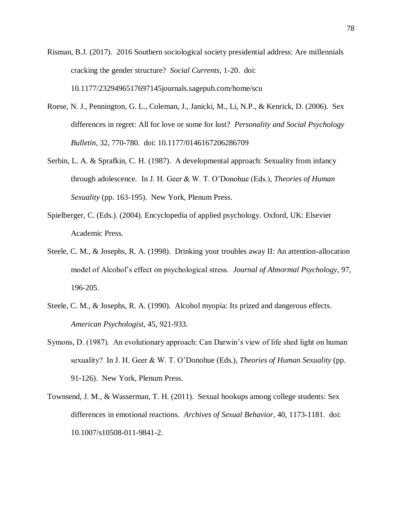Risman, B.J. (2017). 2016 Southern sociological society presidential address: Are millennials cracking the gender structure? *Social Currents,* 1-20. doi: 10.1177/2329496517697145journals.sagepub.com/home/scu

- Roese, N. J., Pennington, G. L., Coleman, J., Janicki, M., Li, N.P., & Kenrick, D. (2006). Sex differences in regret: All for love or some for lust? *Personality and Social Psychology Bulletin,* 32, 770-780. doi: 10.1177/0146167206286709
- Serbin, L. A. & Sprafkin, C. H. (1987). A developmental approach: Sexuality from infancy through adolescence. In J. H. Geer & W. T. O'Donohue (Eds.), *Theories of Human Sexuality* (pp. 163-195). New York, Plenum Press.
- Spielberger, C. (Eds.). (2004). Encyclopedia of applied psychology. Oxford, UK: Elsevier Academic Press.
- Steele, C. M., & Josephs, R. A. (1998). Drinking your troubles away II: An attention-allocation model of Alcohol's effect on psychological stress. *Journal of Abnormal Psychology,* 97, 196-205.
- Steele, C. M., & Josephs, R. A. (1990). Alcohol myopia: Its prized and dangerous effects. *American Psychologist,* 45, 921-933.
- Symons, D. (1987). An evolutionary approach: Can Darwin's view of life shed light on human sexuality? In J. H. Geer & W. T. O'Donohue (Eds.), *Theories of Human Sexuality* (pp. 91-126). New York, Plenum Press.
- Townsend, J. M., & Wasserman, T. H. (2011). Sexual hookups among college students: Sex differences in emotional reactions. *Archives of Sexual Behavior,* 40, 1173-1181. doi: 10.1007/s10508-011-9841-2.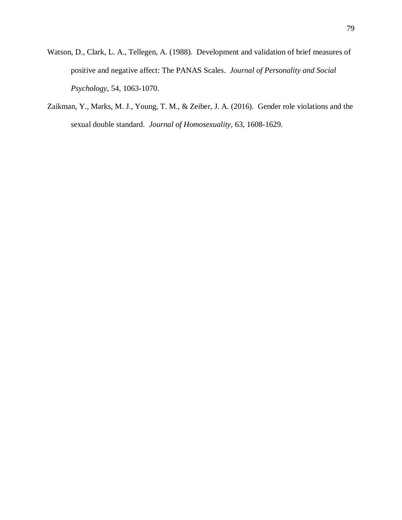- Watson, D., Clark, L. A., Tellegen, A. (1988). Development and validation of brief measures of positive and negative affect: The PANAS Scales. *Journal of Personality and Social Psychology,* 54, 1063-1070.
- Zaikman, Y., Marks, M. J., Young, T. M., & Zeiber, J. A. (2016). Gender role violations and the sexual double standard. *Journal of Homosexuality,* 63, 1608-1629.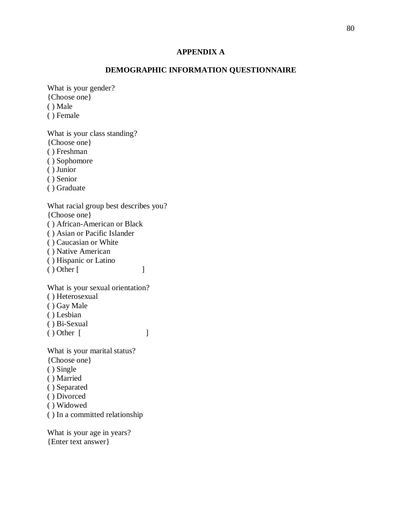### **APPENDIX A**

## **DEMOGRAPHIC INFORMATION QUESTIONNAIRE**

What is your gender? {Choose one}

( ) Male

( ) Female

What is your class standing? {Choose one} ( ) Freshman ( ) Sophomore ( ) Junior ( ) Senior

( ) Graduate

What racial group best describes you? {Choose one}

( ) African-American or Black

( ) Asian or Pacific Islander

( ) Caucasian or White

( ) Native American

( ) Hispanic or Latino

( ) Other [ ]

What is your sexual orientation?

( ) Heterosexual

( ) Gay Male

( ) Lesbian

( ) Bi-Sexual

( ) Other [ ]

What is your marital status?

{Choose one}

( ) Single

( ) Married

( ) Separated

( ) Divorced

( ) Widowed

( ) In a committed relationship

What is your age in years? {Enter text answer}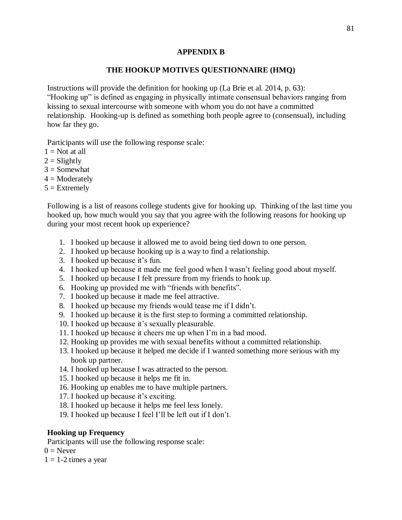## **APPENDIX B**

## **THE HOOKUP MOTIVES QUESTIONNAIRE (HMQ)**

Instructions will provide the definition for hooking up (La Brie et al. 2014, p. 63): "Hooking up" is defined as engaging in physically intimate consensual behaviors ranging from kissing to sexual intercourse with someone with whom you do not have a committed relationship. Hooking-up is defined as something both people agree to (consensual), including how far they go.

Participants will use the following response scale:

- $1 = Not$  at all
- $2 =$ Slightly
- $3 =$  Somewhat
- $4 =$ Moderately
- $5 =$ Extremely

Following is a list of reasons college students give for hooking up. Thinking of the last time you hooked up, how much would you say that you agree with the following reasons for hooking up during your most recent hook up experience?

- 1. I hooked up because it allowed me to avoid being tied down to one person.
- 2. I hooked up because hooking up is a way to find a relationship.
- 3. I hooked up because it's fun.
- 4. I hooked up because it made me feel good when I wasn't feeling good about myself.
- 5. I hooked up because I felt pressure from my friends to hook up.
- 6. Hooking up provided me with "friends with benefits".
- 7. I hooked up because it made me feel attractive.
- 8. I hooked up because my friends would tease me if I didn't.
- 9. I hooked up because it is the first step to forming a committed relationship.
- 10. I hooked up because it's sexually pleasurable.
- 11. I hooked up because it cheers me up when I'm in a bad mood.
- 12. Hooking up provides me with sexual benefits without a committed relationship.
- 13. I hooked up because it helped me decide if I wanted something more serious with my hook up partner.
- 14. I hooked up because I was attracted to the person.
- 15. I hooked up because it helps me fit in.
- 16. Hooking up enables me to have multiple partners.
- 17. I hooked up because it's exciting.
- 18. I hooked up because it helps me feel less lonely.
- 19. I hooked up because I feel I'll be left out if I don't.

## **Hooking up Frequency**

Participants will use the following response scale:

 $0 =$  Never

 $1 = 1-2$  times a year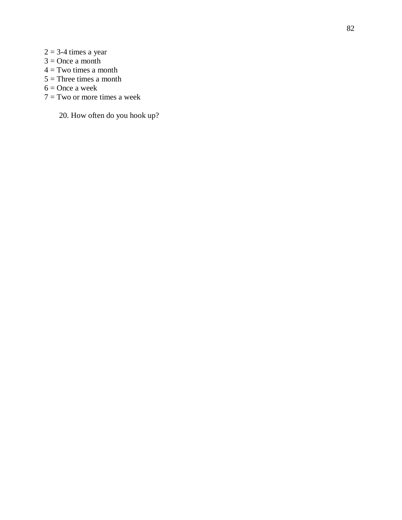- $2 = 3-4$  times a year
- $3 =$ Once a month
- $4 = Two times a month$
- $5 =$ Three times a month
- $6 =$ Once a week
- $7 =$ Two or more times a week

20. How often do you hook up?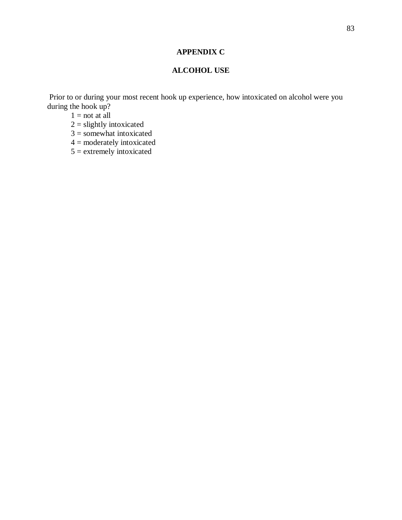# **APPENDIX C**

# **ALCOHOL USE**

Prior to or during your most recent hook up experience, how intoxicated on alcohol were you during the hook up?

 $1 = \text{not at all}$ 

 $2 =$  slightly intoxicated

 $3 =$ somewhat intoxicated

4 = moderately intoxicated

 $5 =$  extremely intoxicated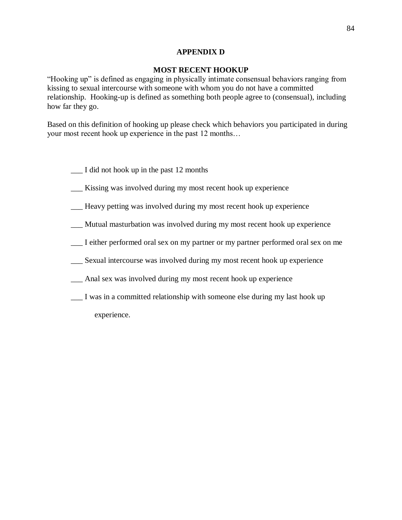## **APPENDIX D**

## **MOST RECENT HOOKUP**

"Hooking up" is defined as engaging in physically intimate consensual behaviors ranging from kissing to sexual intercourse with someone with whom you do not have a committed relationship. Hooking-up is defined as something both people agree to (consensual), including how far they go.

Based on this definition of hooking up please check which behaviors you participated in during your most recent hook up experience in the past 12 months…

- \_\_\_ I did not hook up in the past 12 months
- Kissing was involved during my most recent hook up experience
- \_\_\_ Heavy petting was involved during my most recent hook up experience
- \_\_\_ Mutual masturbation was involved during my most recent hook up experience
- \_\_\_ I either performed oral sex on my partner or my partner performed oral sex on me
- \_\_\_ Sexual intercourse was involved during my most recent hook up experience
- \_\_\_ Anal sex was involved during my most recent hook up experience
- \_\_\_ I was in a committed relationship with someone else during my last hook up experience.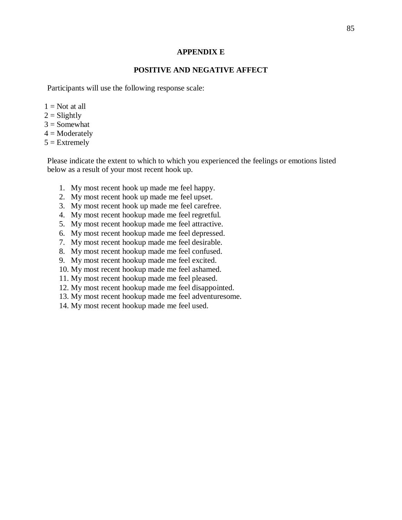### **APPENDIX E**

## **POSITIVE AND NEGATIVE AFFECT**

Participants will use the following response scale:

- $1 = Not$  at all
- $2 =$ Slightly
- $3 =$  Somewhat
- $4 =$ Moderately
- $5 =$  Extremely

Please indicate the extent to which to which you experienced the feelings or emotions listed below as a result of your most recent hook up.

- 1. My most recent hook up made me feel happy.
- 2. My most recent hook up made me feel upset.
- 3. My most recent hook up made me feel carefree.
- 4. My most recent hookup made me feel regretful.
- 5. My most recent hookup made me feel attractive.
- 6. My most recent hookup made me feel depressed.
- 7. My most recent hookup made me feel desirable.
- 8. My most recent hookup made me feel confused.
- 9. My most recent hookup made me feel excited.
- 10. My most recent hookup made me feel ashamed.
- 11. My most recent hookup made me feel pleased.
- 12. My most recent hookup made me feel disappointed.
- 13. My most recent hookup made me feel adventuresome.
- 14. My most recent hookup made me feel used.